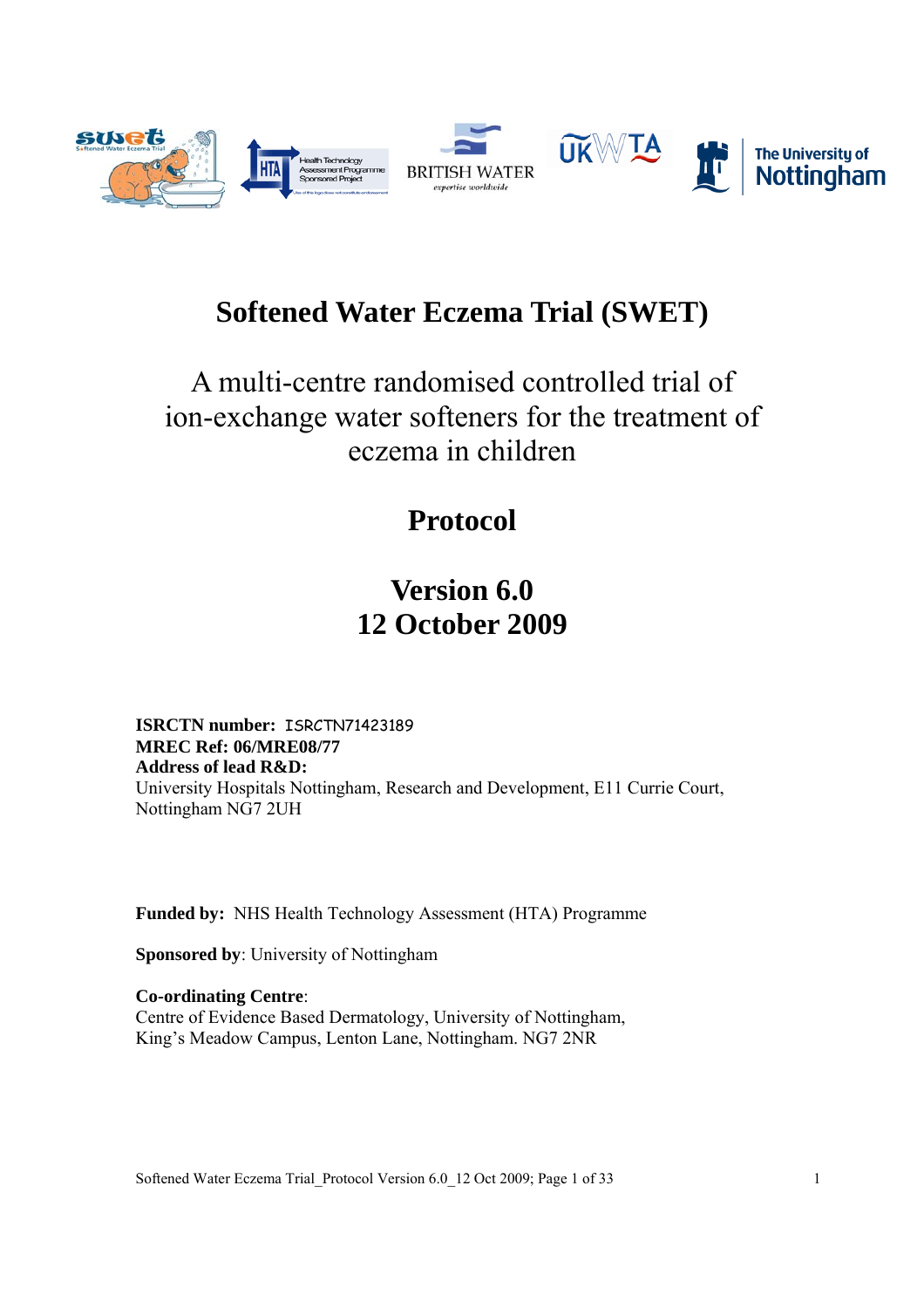

# **Softened Water Eczema Trial (SWET)**

# A multi-centre randomised controlled trial of ion-exchange water softeners for the treatment of eczema in children

# **Protocol**

# **Version 6.0 12 October 2009**

**ISRCTN number:** ISRCTN71423189 **MREC Ref: 06/MRE08/77 Address of lead R&D:**  University Hospitals Nottingham, Research and Development, E11 Currie Court, Nottingham NG7 2UH

**Funded by:** NHS Health Technology Assessment (HTA) Programme

**Sponsored by**: University of Nottingham

**Co-ordinating Centre**: Centre of Evidence Based Dermatology, University of Nottingham, King's Meadow Campus, Lenton Lane, Nottingham. NG7 2NR

Softened Water Eczema Trial Protocol Version 6.0 12 Oct 2009; Page 1 of 33 1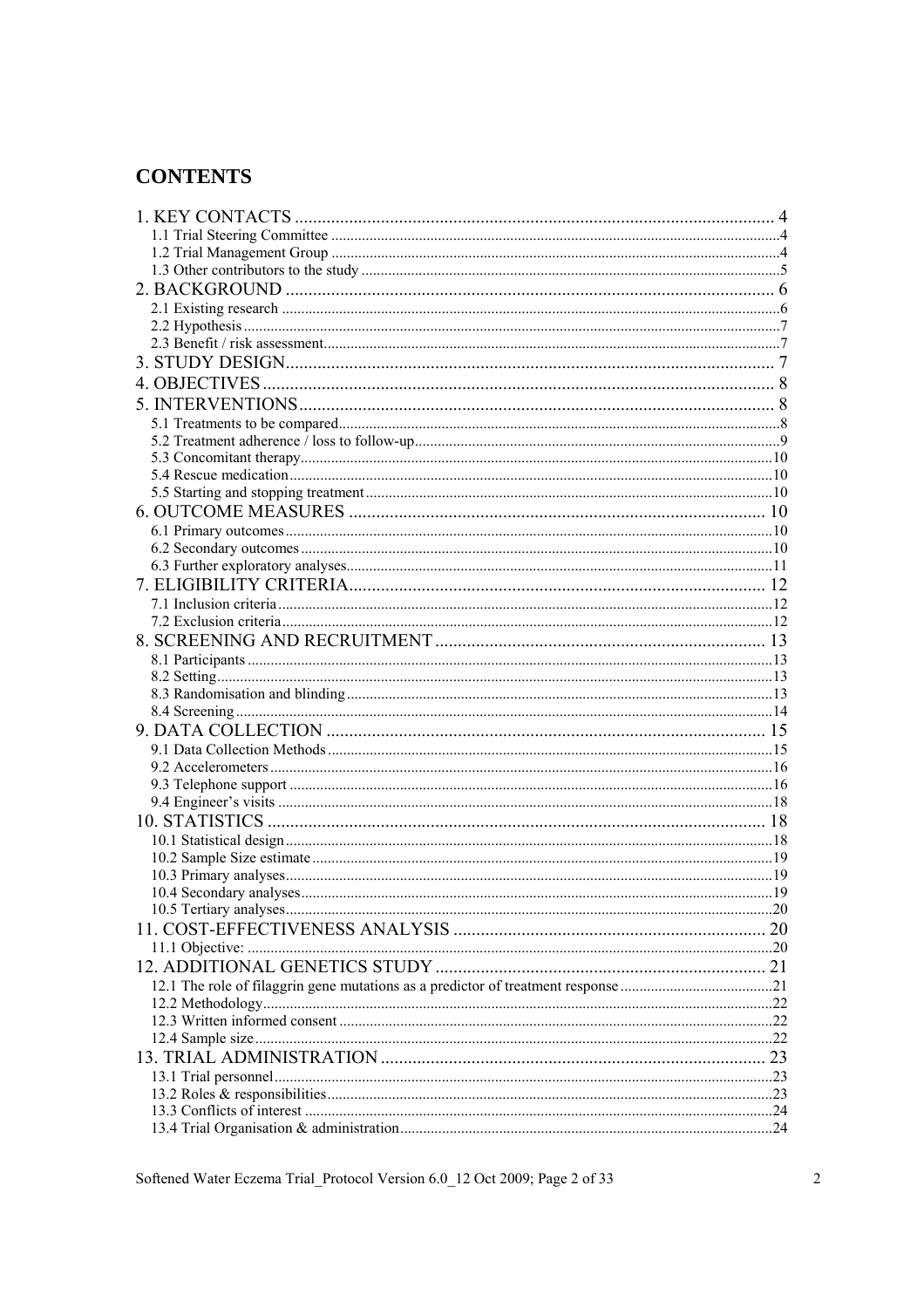## **CONTENTS**

| 23 |
|----|
|    |
|    |
|    |
|    |

Softened Water Eczema Trial\_Protocol Version 6.0\_12 Oct 2009; Page 2 of 33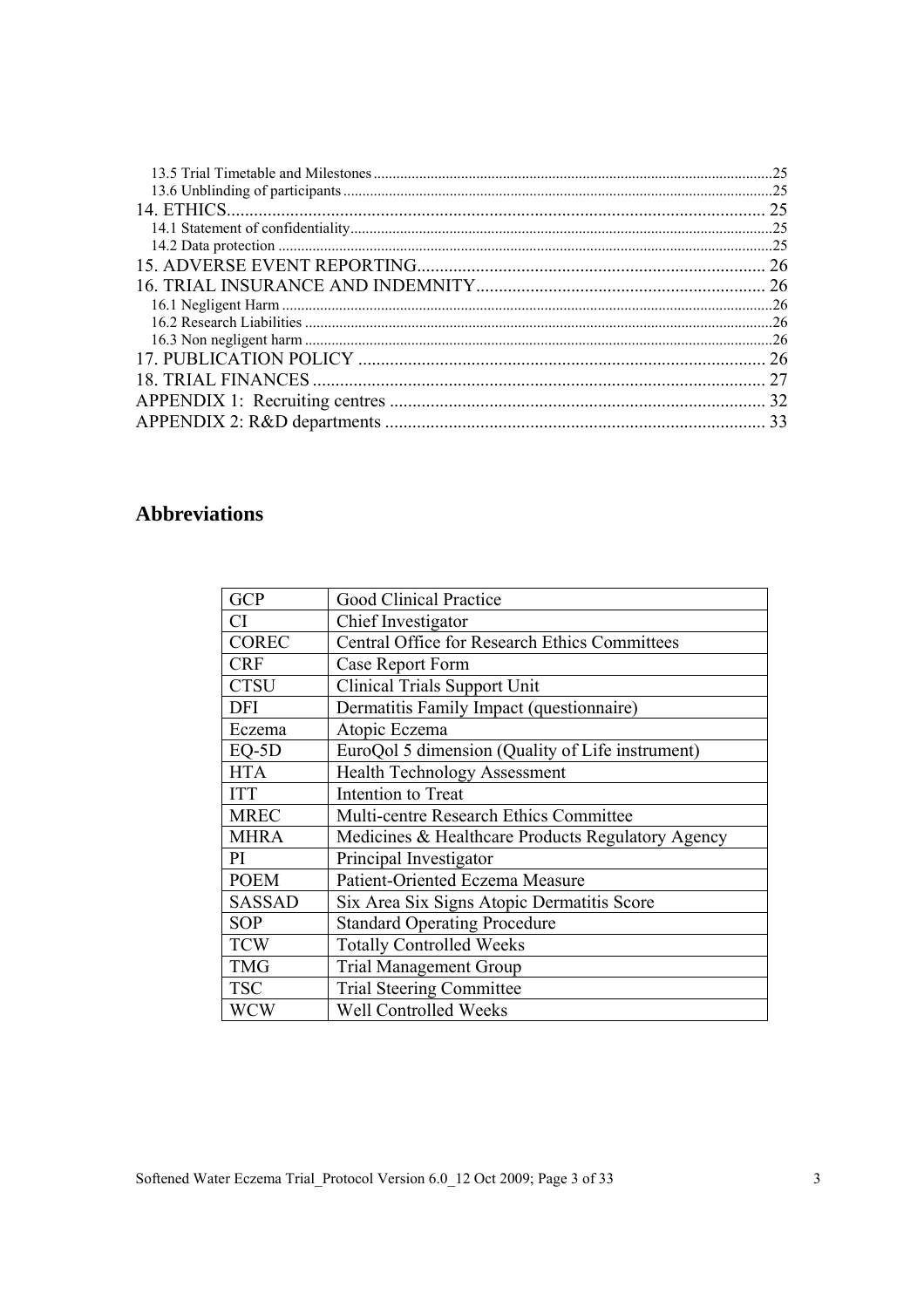| .25 |
|-----|
|     |
| 25  |
| .25 |
|     |
| 26  |
| 26  |
|     |
|     |
|     |
| 26  |
|     |
| 32  |
| 33  |

## **Abbreviations**

| <b>GCP</b>    | Good Clinical Practice                               |
|---------------|------------------------------------------------------|
| CI            | Chief Investigator                                   |
| <b>COREC</b>  | <b>Central Office for Research Ethics Committees</b> |
| <b>CRF</b>    | Case Report Form                                     |
| <b>CTSU</b>   | <b>Clinical Trials Support Unit</b>                  |
| <b>DFI</b>    | Dermatitis Family Impact (questionnaire)             |
| Eczema        | Atopic Eczema                                        |
| $EQ-5D$       | EuroQol 5 dimension (Quality of Life instrument)     |
| <b>HTA</b>    | <b>Health Technology Assessment</b>                  |
| <b>ITT</b>    | Intention to Treat                                   |
| <b>MREC</b>   | Multi-centre Research Ethics Committee               |
| <b>MHRA</b>   | Medicines & Healthcare Products Regulatory Agency    |
| PI            | Principal Investigator                               |
| <b>POEM</b>   | Patient-Oriented Eczema Measure                      |
| <b>SASSAD</b> | Six Area Six Signs Atopic Dermatitis Score           |
| <b>SOP</b>    | <b>Standard Operating Procedure</b>                  |
| <b>TCW</b>    | <b>Totally Controlled Weeks</b>                      |
| <b>TMG</b>    | <b>Trial Management Group</b>                        |
| <b>TSC</b>    | <b>Trial Steering Committee</b>                      |
| <b>WCW</b>    | Well Controlled Weeks                                |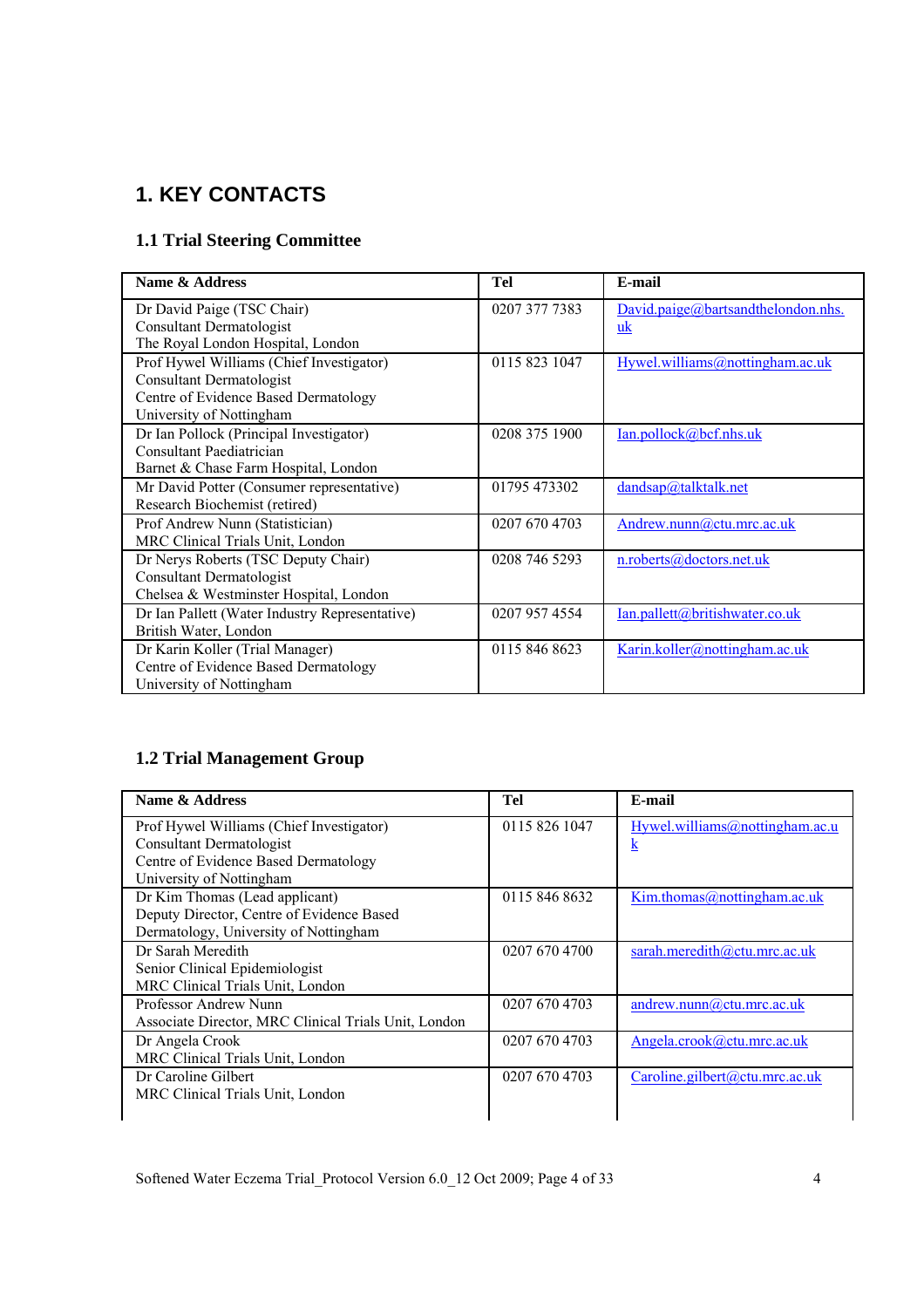## **1. KEY CONTACTS**

## **1.1 Trial Steering Committee**

| Name & Address                                 | Tel           | E-mail                             |
|------------------------------------------------|---------------|------------------------------------|
| Dr David Paige (TSC Chair)                     | 0207 377 7383 | David.paige@bartsandthelondon.nhs. |
| <b>Consultant Dermatologist</b>                |               | uk                                 |
| The Royal London Hospital, London              |               |                                    |
| Prof Hywel Williams (Chief Investigator)       | 0115 823 1047 | Hywel.williams@nottingham.ac.uk    |
| <b>Consultant Dermatologist</b>                |               |                                    |
| Centre of Evidence Based Dermatology           |               |                                    |
| University of Nottingham                       |               |                                    |
| Dr Ian Pollock (Principal Investigator)        | 0208 375 1900 | Ian.pollock@bcf.nhs.uk             |
| Consultant Paediatrician                       |               |                                    |
| Barnet & Chase Farm Hospital, London           |               |                                    |
| Mr David Potter (Consumer representative)      | 01795 473302  | dandsap@talktalk.net               |
| Research Biochemist (retired)                  |               |                                    |
| Prof Andrew Nunn (Statistician)                | 0207 670 4703 | Andrew.nunn@ctu.mrc.ac.uk          |
| MRC Clinical Trials Unit, London               |               |                                    |
| Dr Nerys Roberts (TSC Deputy Chair)            | 0208 746 5293 | n.roberts@doctors.net.uk           |
| <b>Consultant Dermatologist</b>                |               |                                    |
| Chelsea & Westminster Hospital, London         |               |                                    |
| Dr Ian Pallett (Water Industry Representative) | 0207 957 4554 | Ian.pallett@britishwater.co.uk     |
| British Water, London                          |               |                                    |
| Dr Karin Koller (Trial Manager)                | 0115 846 8623 | Karin.koller@nottingham.ac.uk      |
| Centre of Evidence Based Dermatology           |               |                                    |
| University of Nottingham                       |               |                                    |

## **1.2 Trial Management Group**

| Name & Address                                       | Tel           | E-mail                                |
|------------------------------------------------------|---------------|---------------------------------------|
| Prof Hywel Williams (Chief Investigator)             | 0115 826 1047 | Hywel.williams@nottingham.ac.u        |
| Consultant Dermatologist                             |               | k                                     |
| Centre of Evidence Based Dermatology                 |               |                                       |
| University of Nottingham                             |               |                                       |
| Dr Kim Thomas (Lead applicant)                       | 0115 846 8632 | $Kim. thomas(\theta)nottingham.ac.uk$ |
| Deputy Director, Centre of Evidence Based            |               |                                       |
| Dermatology, University of Nottingham                |               |                                       |
| Dr Sarah Meredith                                    | 0207 670 4700 | sarah.meredith@ctu.mrc.ac.uk          |
| Senior Clinical Epidemiologist                       |               |                                       |
| MRC Clinical Trials Unit, London                     |               |                                       |
| Professor Andrew Nunn                                | 0207 670 4703 | andrew.nunn@ctu.mrc.ac.uk             |
| Associate Director, MRC Clinical Trials Unit, London |               |                                       |
| Dr Angela Crook                                      | 0207 670 4703 | Angela.crook@ctu.mrc.ac.uk            |
| MRC Clinical Trials Unit, London                     |               |                                       |
| Dr Caroline Gilbert                                  | 0207 670 4703 | Caroline.gilbert@ctu.mrc.ac.uk        |
| MRC Clinical Trials Unit, London                     |               |                                       |
|                                                      |               |                                       |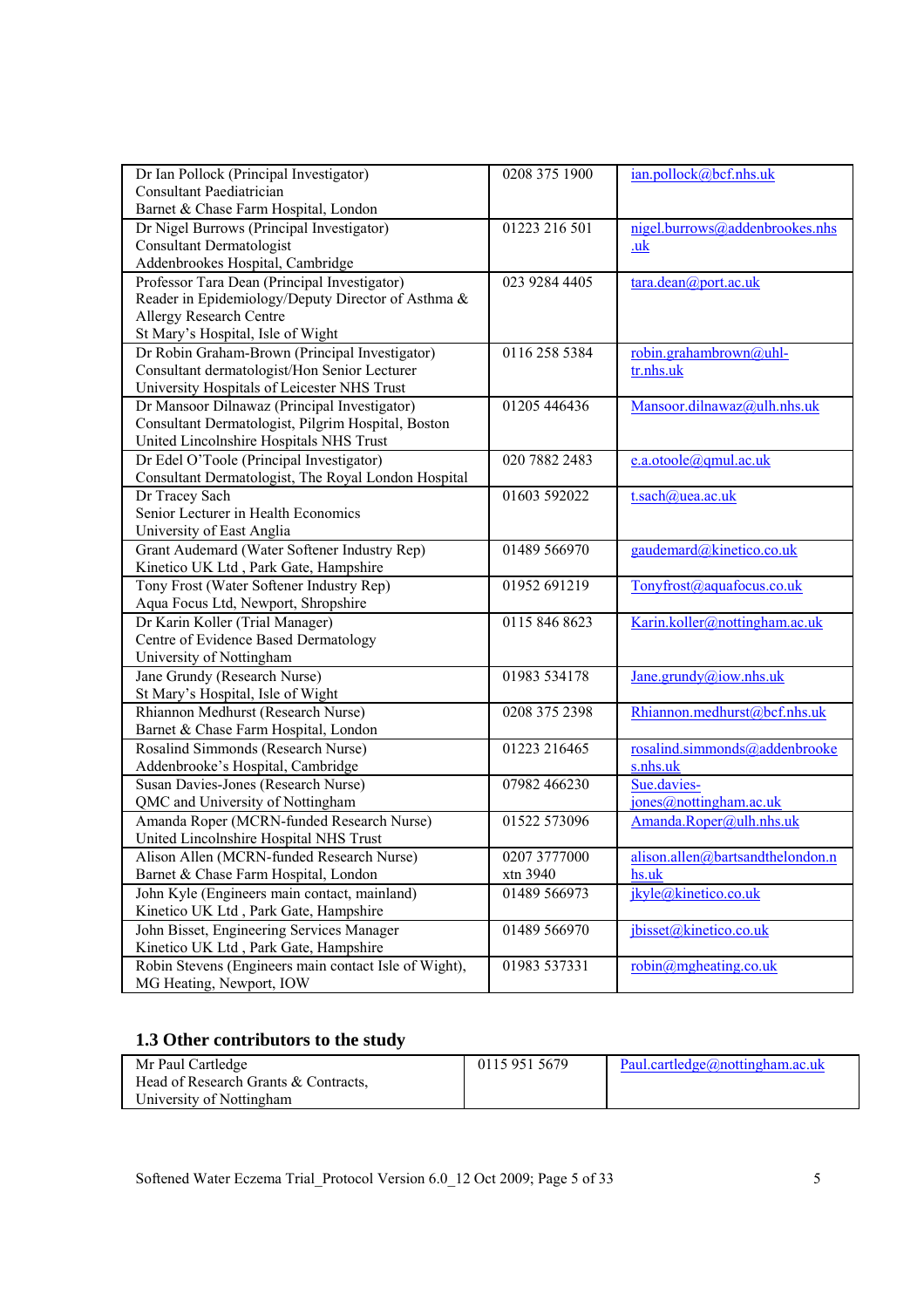| Dr Ian Pollock (Principal Investigator)               | 0208 375 1900 | ian, pollock@bcf.nhs.uk               |
|-------------------------------------------------------|---------------|---------------------------------------|
| Consultant Paediatrician                              |               |                                       |
| Barnet & Chase Farm Hospital, London                  |               |                                       |
| Dr Nigel Burrows (Principal Investigator)             | 01223 216 501 | nigel.burrows@addenbrookes.nhs        |
| <b>Consultant Dermatologist</b>                       |               | .uk                                   |
| Addenbrookes Hospital, Cambridge                      |               |                                       |
| Professor Tara Dean (Principal Investigator)          | 023 9284 4405 | tara.dean@port.ac.uk                  |
| Reader in Epidemiology/Deputy Director of Asthma &    |               |                                       |
| Allergy Research Centre                               |               |                                       |
| St Mary's Hospital, Isle of Wight                     |               |                                       |
| Dr Robin Graham-Brown (Principal Investigator)        | 0116 258 5384 | robin.grahambrown@uhl-                |
| Consultant dermatologist/Hon Senior Lecturer          |               | tr.nhs.uk                             |
| University Hospitals of Leicester NHS Trust           |               |                                       |
| Dr Mansoor Dilnawaz (Principal Investigator)          | 01205 446436  | Mansoor.dilnawaz@ulh.nhs.uk           |
| Consultant Dermatologist, Pilgrim Hospital, Boston    |               |                                       |
| United Lincolnshire Hospitals NHS Trust               |               |                                       |
| Dr Edel O'Toole (Principal Investigator)              | 020 7882 2483 | e.a.otoole@qmul.ac.uk                 |
| Consultant Dermatologist, The Royal London Hospital   |               |                                       |
| Dr Tracey Sach                                        | 01603 592022  | t.sach@uea.ac.uk                      |
| Senior Lecturer in Health Economics                   |               |                                       |
| University of East Anglia                             |               |                                       |
| Grant Audemard (Water Softener Industry Rep)          | 01489 566970  | gaudemard@kinetico.co.uk              |
| Kinetico UK Ltd, Park Gate, Hampshire                 |               |                                       |
| Tony Frost (Water Softener Industry Rep)              | 01952 691219  | Tonyfrost@aquafocus.co.uk             |
| Aqua Focus Ltd, Newport, Shropshire                   |               |                                       |
| Dr Karin Koller (Trial Manager)                       | 0115 846 8623 | Karin.koller@nottingham.ac.uk         |
| Centre of Evidence Based Dermatology                  |               |                                       |
| University of Nottingham                              |               |                                       |
| Jane Grundy (Research Nurse)                          | 01983 534178  | Jane.grundy@iow.nhs.uk                |
| St Mary's Hospital, Isle of Wight                     |               |                                       |
| Rhiannon Medhurst (Research Nurse)                    | 0208 375 2398 | Rhiannon.medhurst@bcf.nhs.uk          |
| Barnet & Chase Farm Hospital, London                  |               |                                       |
| Rosalind Simmonds (Research Nurse)                    | 01223 216465  | rosalind.simmonds@addenbrooke         |
| Addenbrooke's Hospital, Cambridge                     |               | s.nhs.uk                              |
| Susan Davies-Jones (Research Nurse)                   | 07982 466230  | Sue.davies-                           |
| QMC and University of Nottingham                      |               | jones@nottingham.ac.uk                |
| Amanda Roper (MCRN-funded Research Nurse)             | 01522 573096  | Amanda.Roper@ulh.nhs.uk               |
| United Lincolnshire Hospital NHS Trust                |               |                                       |
| Alison Allen (MCRN-funded Research Nurse)             | 0207 3777000  | alison.allen@bartsandthelondon.n      |
| Barnet & Chase Farm Hospital, London                  | xtn 3940      | hs.uk                                 |
| John Kyle (Engineers main contact, mainland)          | 01489 566973  | jkyle@kinetico.co.uk                  |
| Kinetico UK Ltd, Park Gate, Hampshire                 |               |                                       |
| John Bisset, Engineering Services Manager             | 01489 566970  | jbisset@kinetico.co.uk                |
| Kinetico UK Ltd, Park Gate, Hampshire                 |               |                                       |
| Robin Stevens (Engineers main contact Isle of Wight), | 01983 537331  | $robin(\overline{a})$ mgheating.co.uk |
| MG Heating, Newport, IOW                              |               |                                       |

# **1.3 Other contributors to the study**

| Mr Paul Cartledge                    | 0115 951 5679 | Paul.cartledge@nottingham.ac.uk |
|--------------------------------------|---------------|---------------------------------|
| Head of Research Grants & Contracts, |               |                                 |
| University of Nottingham             |               |                                 |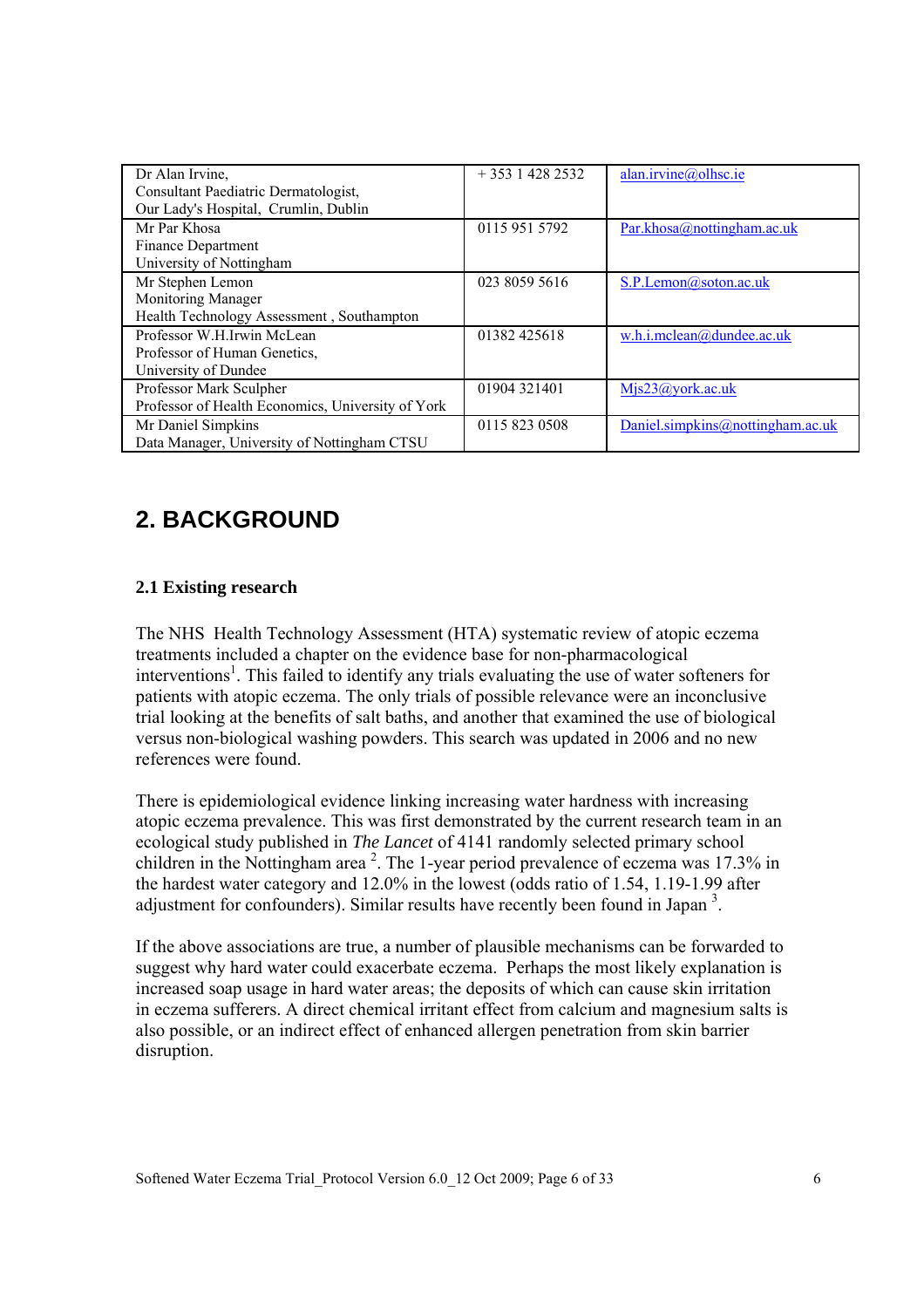| Dr Alan Irvine,                                   | $+35314282532$ | alan.irvine@olhsc.ie             |
|---------------------------------------------------|----------------|----------------------------------|
| Consultant Paediatric Dermatologist,              |                |                                  |
| Our Lady's Hospital, Crumlin, Dublin              |                |                                  |
| Mr Par Khosa                                      | 0115 951 5792  | Par.khosa@nottingham.ac.uk       |
| Finance Department                                |                |                                  |
| University of Nottingham                          |                |                                  |
| Mr Stephen Lemon                                  | 023 8059 5616  | S.P.Lemon@soton.ac.uk            |
| Monitoring Manager                                |                |                                  |
| Health Technology Assessment, Southampton         |                |                                  |
| Professor W.H.Irwin McLean                        | 01382 425618   | w.h.i.mclean@dundee.ac.uk        |
| Professor of Human Genetics.                      |                |                                  |
| University of Dundee                              |                |                                  |
| Professor Mark Sculpher                           | 01904 321401   | $M$ js23@york.ac.uk              |
| Professor of Health Economics, University of York |                |                                  |
| Mr Daniel Simpkins                                | 0115 823 0508  | Daniel.simpkins@nottingham.ac.uk |
| Data Manager, University of Nottingham CTSU       |                |                                  |

# **2. BACKGROUND**

### **2.1 Existing research**

The NHS Health Technology Assessment (HTA) systematic review of atopic eczema treatments included a chapter on the evidence base for non-pharmacological interventions<sup>1</sup>. This failed to identify any trials evaluating the use of water softeners for patients with atopic eczema. The only trials of possible relevance were an inconclusive trial looking at the benefits of salt baths, and another that examined the use of biological versus non-biological washing powders. This search was updated in 2006 and no new references were found.

There is epidemiological evidence linking increasing water hardness with increasing atopic eczema prevalence. This was first demonstrated by the current research team in an ecological study published in *The Lancet* of 4141 randomly selected primary school children in the Nottingham area<sup>2</sup>. The 1-year period prevalence of eczema was 17.3% in the hardest water category and 12.0% in the lowest (odds ratio of 1.54, 1.19-1.99 after adjustment for confounders). Similar results have recently been found in Japan<sup>3</sup>.

If the above associations are true, a number of plausible mechanisms can be forwarded to suggest why hard water could exacerbate eczema. Perhaps the most likely explanation is increased soap usage in hard water areas; the deposits of which can cause skin irritation in eczema sufferers. A direct chemical irritant effect from calcium and magnesium salts is also possible, or an indirect effect of enhanced allergen penetration from skin barrier disruption.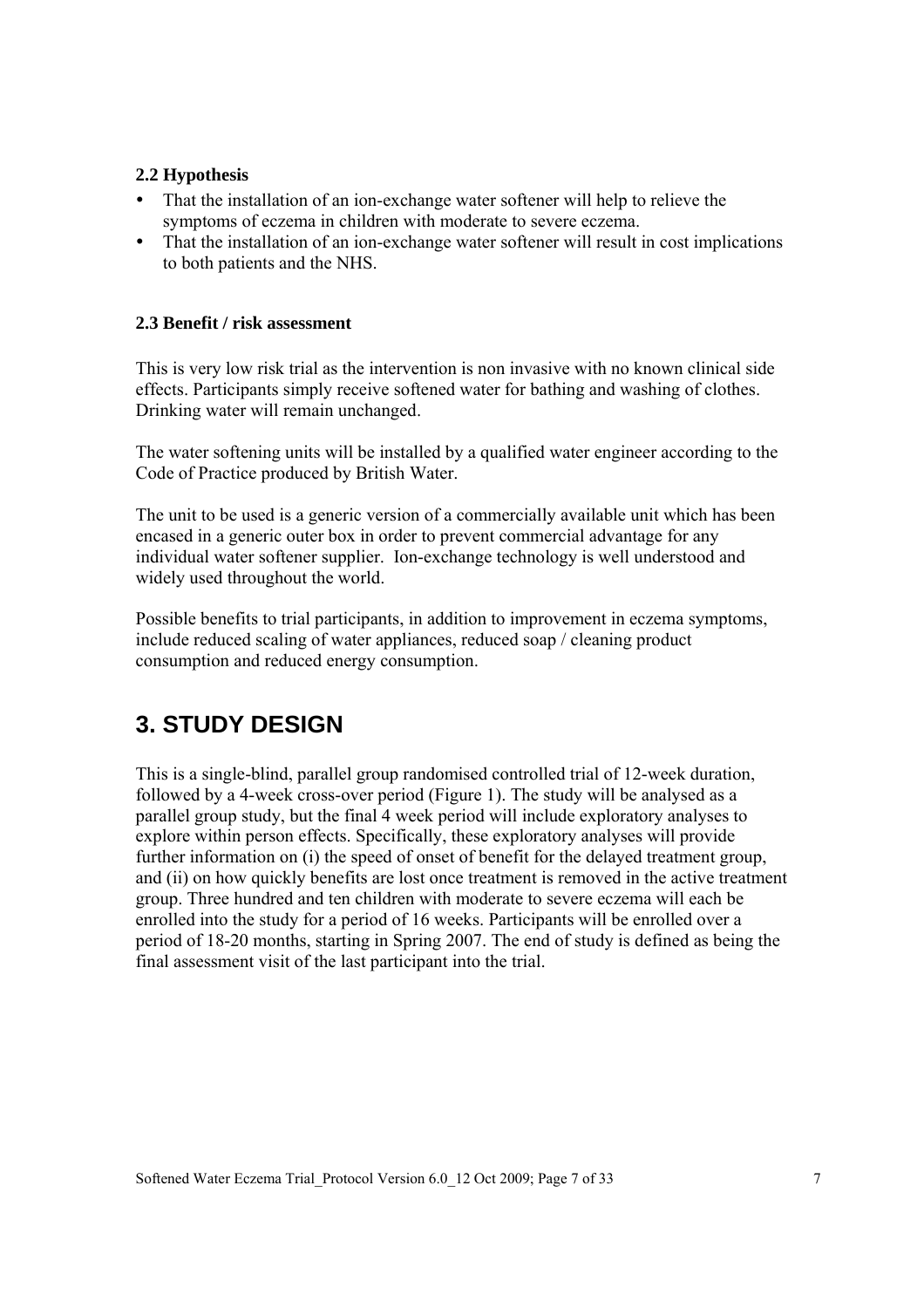### **2.2 Hypothesis**

- That the installation of an ion-exchange water softener will help to relieve the symptoms of eczema in children with moderate to severe eczema.
- That the installation of an ion-exchange water softener will result in cost implications to both patients and the NHS.

#### **2.3 Benefit / risk assessment**

This is very low risk trial as the intervention is non invasive with no known clinical side effects. Participants simply receive softened water for bathing and washing of clothes. Drinking water will remain unchanged.

The water softening units will be installed by a qualified water engineer according to the Code of Practice produced by British Water.

The unit to be used is a generic version of a commercially available unit which has been encased in a generic outer box in order to prevent commercial advantage for any individual water softener supplier. Ion-exchange technology is well understood and widely used throughout the world.

Possible benefits to trial participants, in addition to improvement in eczema symptoms, include reduced scaling of water appliances, reduced soap / cleaning product consumption and reduced energy consumption.

## **3. STUDY DESIGN**

This is a single-blind, parallel group randomised controlled trial of 12-week duration, followed by a 4-week cross-over period (Figure 1). The study will be analysed as a parallel group study, but the final 4 week period will include exploratory analyses to explore within person effects. Specifically, these exploratory analyses will provide further information on (i) the speed of onset of benefit for the delayed treatment group, and (ii) on how quickly benefits are lost once treatment is removed in the active treatment group. Three hundred and ten children with moderate to severe eczema will each be enrolled into the study for a period of 16 weeks. Participants will be enrolled over a period of 18-20 months, starting in Spring 2007. The end of study is defined as being the final assessment visit of the last participant into the trial.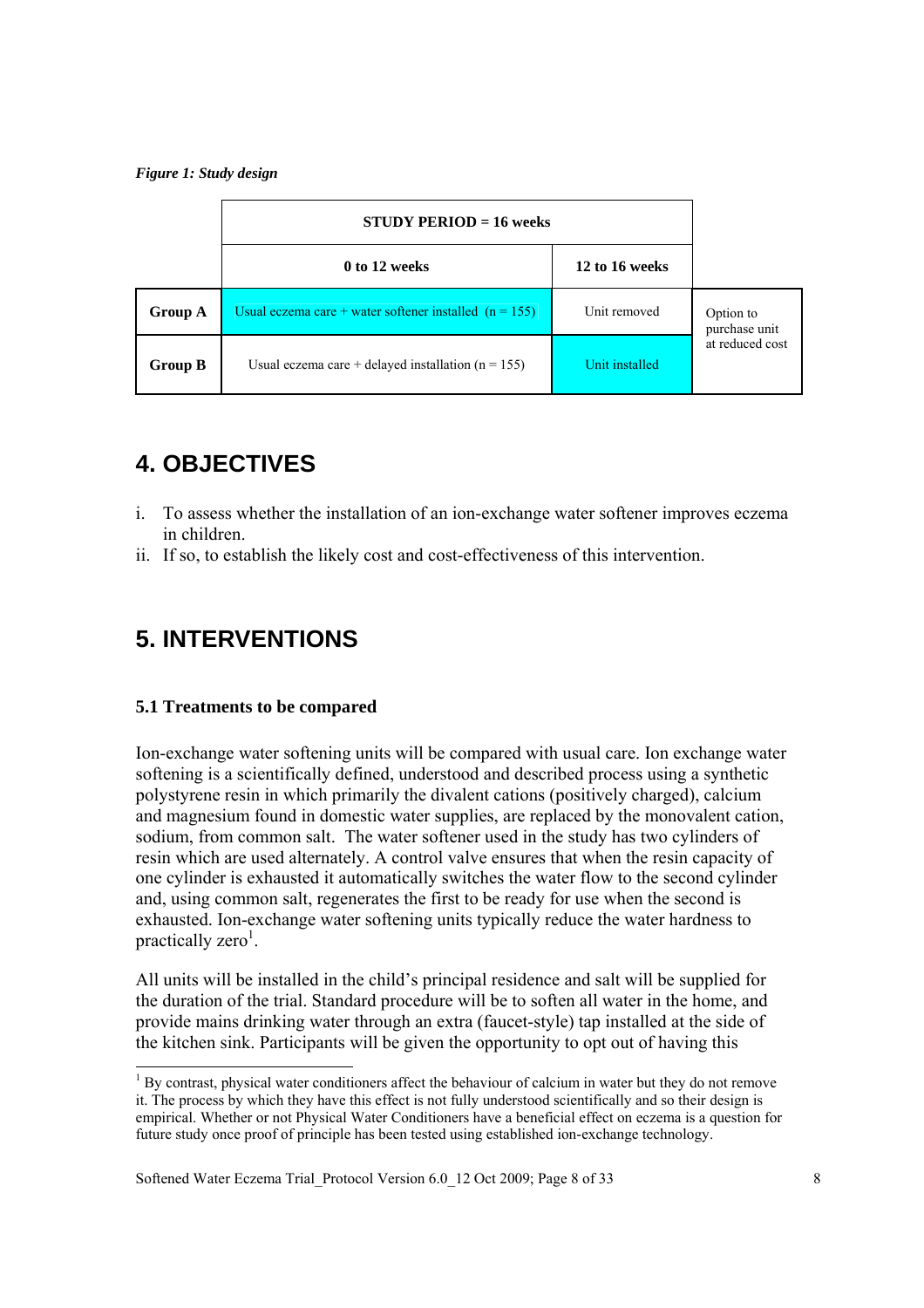#### *Figure 1: Study design*

|                | $STUDY PERIOD = 16 weeks$                                |                |                            |
|----------------|----------------------------------------------------------|----------------|----------------------------|
|                | 0 to 12 weeks                                            | 12 to 16 weeks |                            |
| <b>Group A</b> | Usual eczema care + water softener installed $(n = 155)$ | Unit removed   | Option to<br>purchase unit |
| <b>Group B</b> | Usual eczema care + delayed installation $(n = 155)$     | Unit installed | at reduced cost            |

# **4. OBJECTIVES**

- i. To assess whether the installation of an ion-exchange water softener improves eczema in children.
- ii. If so, to establish the likely cost and cost-effectiveness of this intervention.

# **5. INTERVENTIONS**

#### **5.1 Treatments to be compared**

l

Ion-exchange water softening units will be compared with usual care. Ion exchange water softening is a scientifically defined, understood and described process using a synthetic polystyrene resin in which primarily the divalent cations (positively charged), calcium and magnesium found in domestic water supplies, are replaced by the monovalent cation, sodium, from common salt. The water softener used in the study has two cylinders of resin which are used alternately. A control valve ensures that when the resin capacity of one cylinder is exhausted it automatically switches the water flow to the second cylinder and, using common salt, regenerates the first to be ready for use when the second is exhausted. Ion-exchange water softening units typically reduce the water hardness to practically zero<sup>1</sup>.

All units will be installed in the child's principal residence and salt will be supplied for the duration of the trial. Standard procedure will be to soften all water in the home, and provide mains drinking water through an extra (faucet-style) tap installed at the side of the kitchen sink. Participants will be given the opportunity to opt out of having this

<sup>&</sup>lt;sup>1</sup> By contrast, physical water conditioners affect the behaviour of calcium in water but they do not remove it. The process by which they have this effect is not fully understood scientifically and so their design is empirical. Whether or not Physical Water Conditioners have a beneficial effect on eczema is a question for future study once proof of principle has been tested using established ion-exchange technology.

Softened Water Eczema Trial Protocol Version 6.0 12 Oct 2009; Page 8 of 33 8 8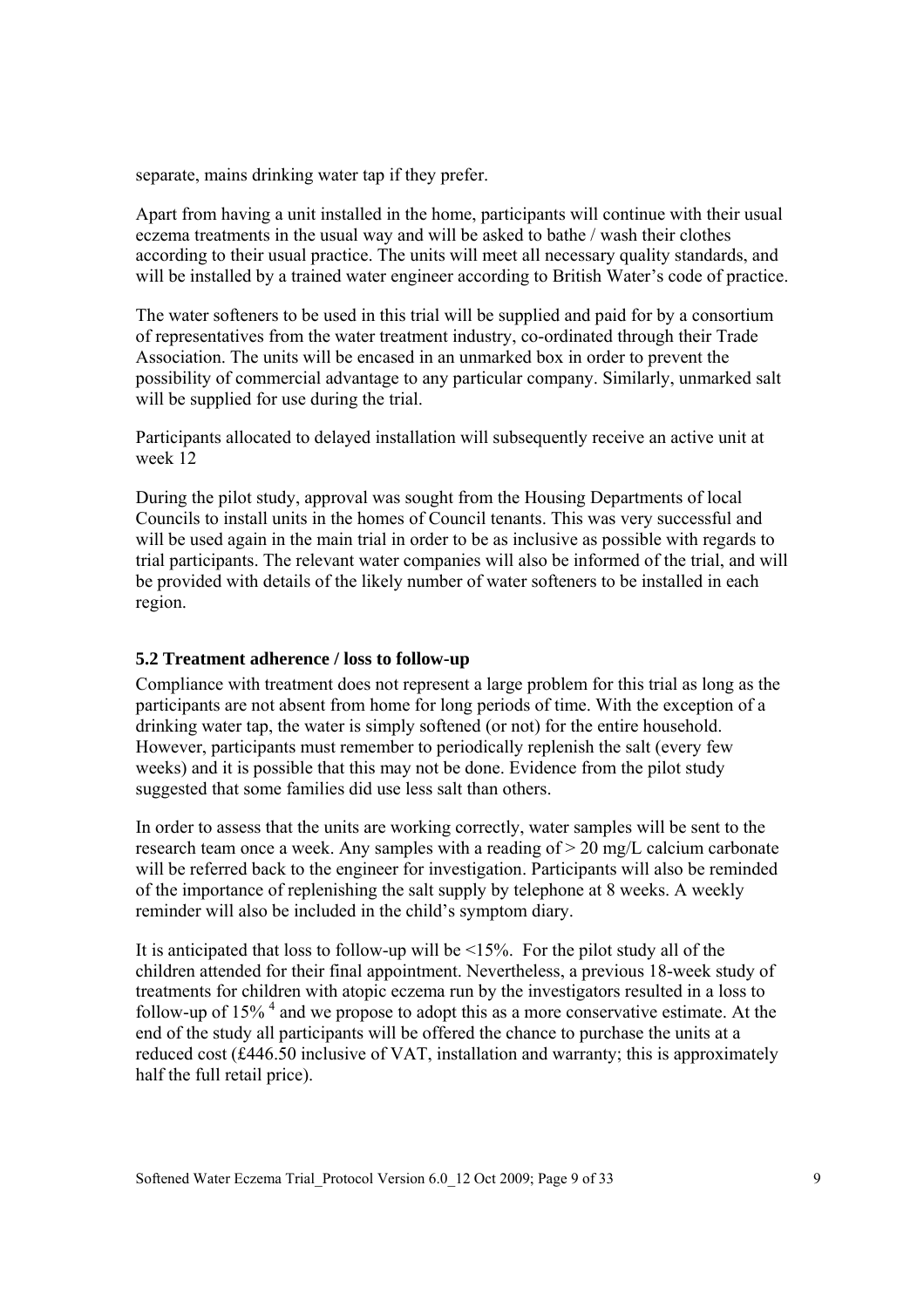separate, mains drinking water tap if they prefer.

Apart from having a unit installed in the home, participants will continue with their usual eczema treatments in the usual way and will be asked to bathe / wash their clothes according to their usual practice. The units will meet all necessary quality standards, and will be installed by a trained water engineer according to British Water's code of practice.

The water softeners to be used in this trial will be supplied and paid for by a consortium of representatives from the water treatment industry, co-ordinated through their Trade Association. The units will be encased in an unmarked box in order to prevent the possibility of commercial advantage to any particular company. Similarly, unmarked salt will be supplied for use during the trial.

Participants allocated to delayed installation will subsequently receive an active unit at week 12

During the pilot study, approval was sought from the Housing Departments of local Councils to install units in the homes of Council tenants. This was very successful and will be used again in the main trial in order to be as inclusive as possible with regards to trial participants. The relevant water companies will also be informed of the trial, and will be provided with details of the likely number of water softeners to be installed in each region.

#### **5.2 Treatment adherence / loss to follow-up**

Compliance with treatment does not represent a large problem for this trial as long as the participants are not absent from home for long periods of time. With the exception of a drinking water tap, the water is simply softened (or not) for the entire household. However, participants must remember to periodically replenish the salt (every few weeks) and it is possible that this may not be done. Evidence from the pilot study suggested that some families did use less salt than others.

In order to assess that the units are working correctly, water samples will be sent to the research team once a week. Any samples with a reading of > 20 mg/L calcium carbonate will be referred back to the engineer for investigation. Participants will also be reminded of the importance of replenishing the salt supply by telephone at 8 weeks. A weekly reminder will also be included in the child's symptom diary.

It is anticipated that loss to follow-up will be <15%. For the pilot study all of the children attended for their final appointment. Nevertheless, a previous 18-week study of treatments for children with atopic eczema run by the investigators resulted in a loss to follow-up of  $15\%$ <sup>4</sup> and we propose to adopt this as a more conservative estimate. At the end of the study all participants will be offered the chance to purchase the units at a reduced cost (£446.50 inclusive of VAT, installation and warranty; this is approximately half the full retail price).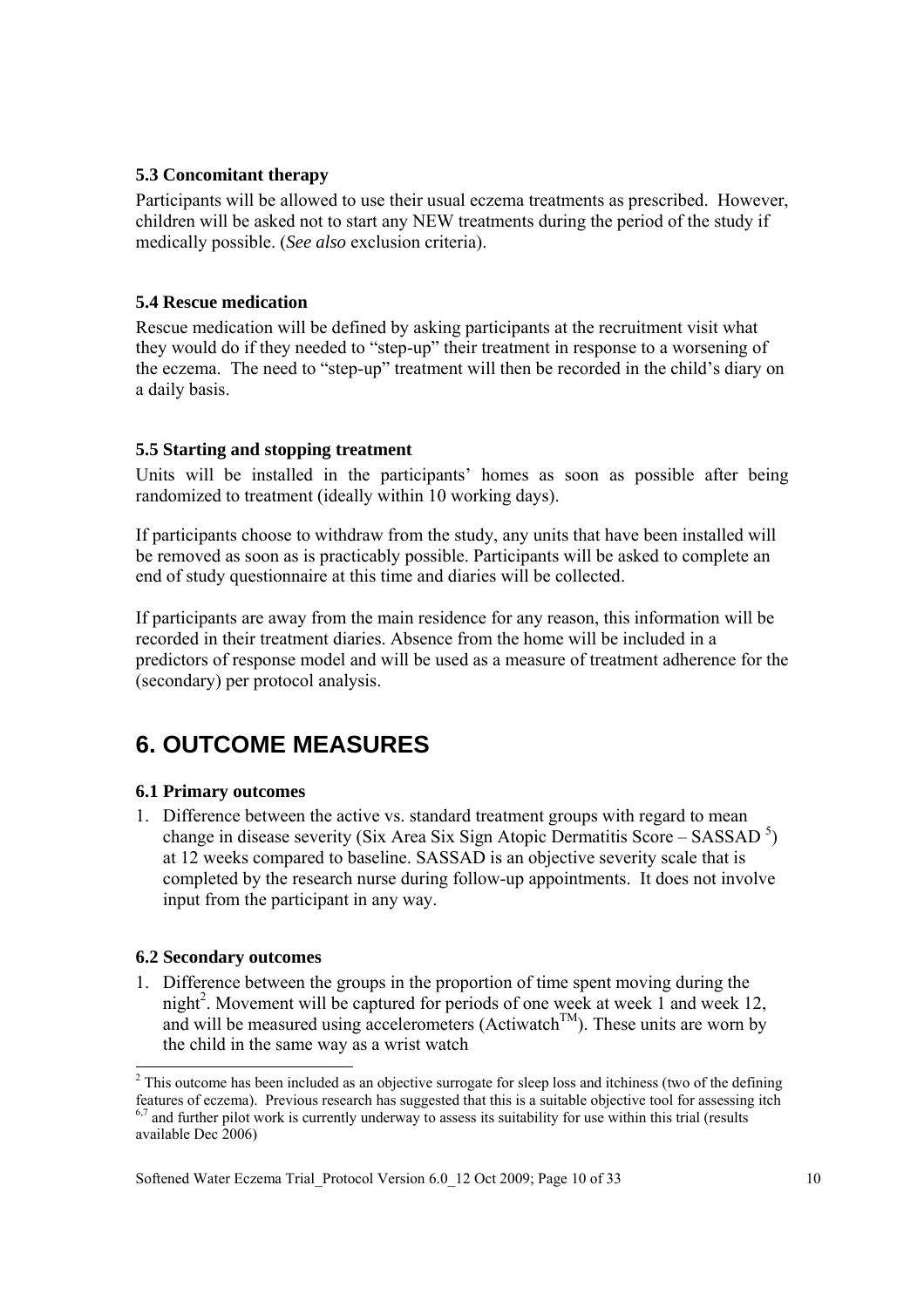### **5.3 Concomitant therapy**

Participants will be allowed to use their usual eczema treatments as prescribed. However, children will be asked not to start any NEW treatments during the period of the study if medically possible. (*See also* exclusion criteria).

### **5.4 Rescue medication**

Rescue medication will be defined by asking participants at the recruitment visit what they would do if they needed to "step-up" their treatment in response to a worsening of the eczema. The need to "step-up" treatment will then be recorded in the child's diary on a daily basis.

### **5.5 Starting and stopping treatment**

Units will be installed in the participants' homes as soon as possible after being randomized to treatment (ideally within 10 working days).

If participants choose to withdraw from the study, any units that have been installed will be removed as soon as is practicably possible. Participants will be asked to complete an end of study questionnaire at this time and diaries will be collected.

If participants are away from the main residence for any reason, this information will be recorded in their treatment diaries. Absence from the home will be included in a predictors of response model and will be used as a measure of treatment adherence for the (secondary) per protocol analysis.

# **6. OUTCOME MEASURES**

### **6.1 Primary outcomes**

1. Difference between the active vs. standard treatment groups with regard to mean change in disease severity (Six Area Six Sign Atopic Dermatitis Score – SASSAD<sup>5</sup>) at 12 weeks compared to baseline. SASSAD is an objective severity scale that is completed by the research nurse during follow-up appointments. It does not involve input from the participant in any way.

#### **6.2 Secondary outcomes**

1. Difference between the groups in the proportion of time spent moving during the night<sup>2</sup>. Movement will be captured for periods of one week at week 1 and week 12, and will be measured using accelerometers (Actiwatch<sup>TM</sup>). These units are worn by the child in the same way as a wrist watch

<sup>&</sup>lt;sup>2</sup> This outcome has been included as an objective surrogate for sleep loss and itchiness (two of the defining features of eczema). Previous research has suggested that this is a suitable objective tool for assessing itch  $6,7$  and further pilot work is currently underway to assess its suitability for use within this trial (results available Dec 2006)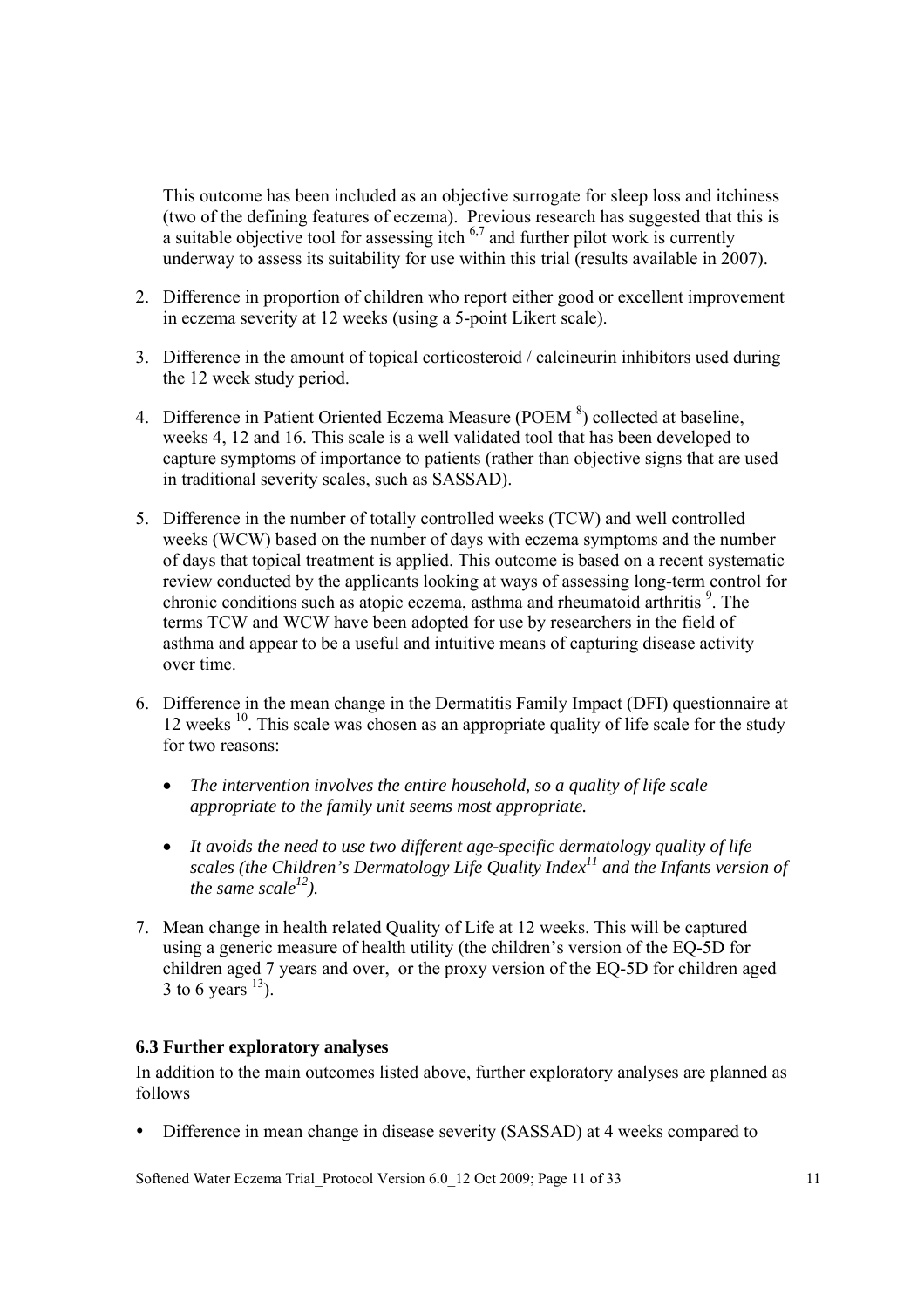This outcome has been included as an objective surrogate for sleep loss and itchiness (two of the defining features of eczema). Previous research has suggested that this is a suitable objective tool for assessing itch  $6.7$  and further pilot work is currently underway to assess its suitability for use within this trial (results available in 2007).

- 2. Difference in proportion of children who report either good or excellent improvement in eczema severity at 12 weeks (using a 5-point Likert scale).
- 3. Difference in the amount of topical corticosteroid / calcineurin inhibitors used during the 12 week study period.
- 4. Difference in Patient Oriented Eczema Measure (POEM $8$ ) collected at baseline, weeks 4, 12 and 16. This scale is a well validated tool that has been developed to capture symptoms of importance to patients (rather than objective signs that are used in traditional severity scales, such as SASSAD).
- 5. Difference in the number of totally controlled weeks (TCW) and well controlled weeks (WCW) based on the number of days with eczema symptoms and the number of days that topical treatment is applied. This outcome is based on a recent systematic review conducted by the applicants looking at ways of assessing long-term control for chronic conditions such as atopic eczema, asthma and rheumatoid arthritis <sup>9</sup>. The terms TCW and WCW have been adopted for use by researchers in the field of asthma and appear to be a useful and intuitive means of capturing disease activity over time.
- 6. Difference in the mean change in the Dermatitis Family Impact (DFI) questionnaire at 12 weeks  $10$ . This scale was chosen as an appropriate quality of life scale for the study for two reasons:
	- *The intervention involves the entire household, so a quality of life scale appropriate to the family unit seems most appropriate.*
	- *It avoids the need to use two different age-specific dermatology quality of life scales (the Children's Dermatology Life Quality Index<sup>11</sup> and the Infants version of the same scale*<sup> $12$ </sup>).
- 7. Mean change in health related Quality of Life at 12 weeks. This will be captured using a generic measure of health utility (the children's version of the EQ-5D for children aged 7 years and over, or the proxy version of the EQ-5D for children aged 3 to 6 years  $^{13}$ ).

#### **6.3 Further exploratory analyses**

In addition to the main outcomes listed above, further exploratory analyses are planned as follows

• Difference in mean change in disease severity (SASSAD) at 4 weeks compared to

Softened Water Eczema Trial Protocol Version 6.0 12 Oct 2009; Page 11 of 33 11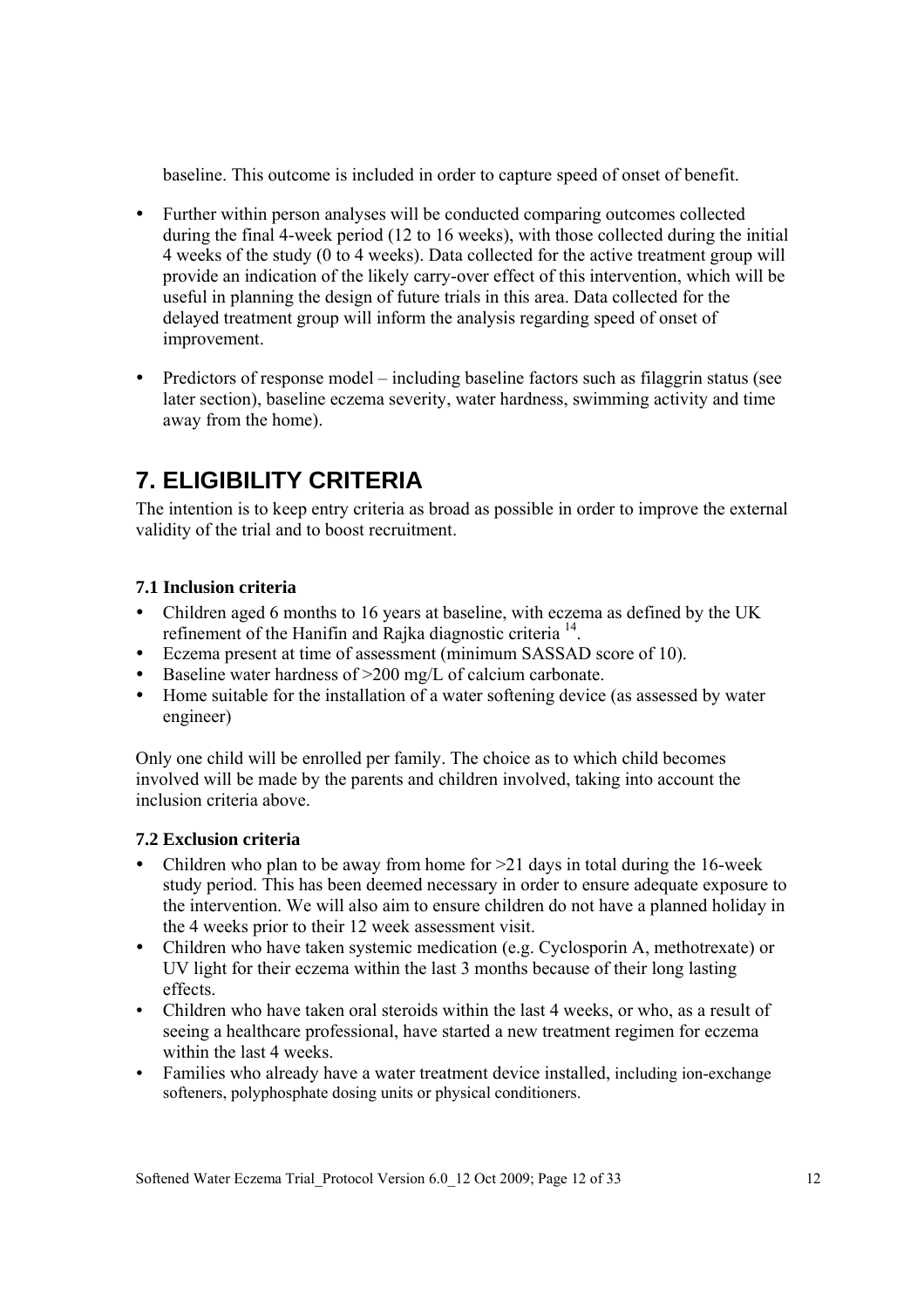baseline. This outcome is included in order to capture speed of onset of benefit.

- Further within person analyses will be conducted comparing outcomes collected during the final 4-week period (12 to 16 weeks), with those collected during the initial 4 weeks of the study (0 to 4 weeks). Data collected for the active treatment group will provide an indication of the likely carry-over effect of this intervention, which will be useful in planning the design of future trials in this area. Data collected for the delayed treatment group will inform the analysis regarding speed of onset of improvement.
- Predictors of response model including baseline factors such as filaggrin status (see later section), baseline eczema severity, water hardness, swimming activity and time away from the home).

# **7. ELIGIBILITY CRITERIA**

The intention is to keep entry criteria as broad as possible in order to improve the external validity of the trial and to boost recruitment.

## **7.1 Inclusion criteria**

- Children aged 6 months to 16 years at baseline, with eczema as defined by the UK refinement of the Hanifin and Rajka diagnostic criteria 14.
- Eczema present at time of assessment (minimum SASSAD score of 10).
- Baseline water hardness of  $>200$  mg/L of calcium carbonate.
- Home suitable for the installation of a water softening device (as assessed by water engineer)

Only one child will be enrolled per family. The choice as to which child becomes involved will be made by the parents and children involved, taking into account the inclusion criteria above.

### **7.2 Exclusion criteria**

- Children who plan to be away from home for  $>21$  days in total during the 16-week study period. This has been deemed necessary in order to ensure adequate exposure to the intervention. We will also aim to ensure children do not have a planned holiday in the 4 weeks prior to their 12 week assessment visit.
- Children who have taken systemic medication (e.g. Cyclosporin A, methotrexate) or UV light for their eczema within the last 3 months because of their long lasting effects.
- Children who have taken oral steroids within the last 4 weeks, or who, as a result of seeing a healthcare professional, have started a new treatment regimen for eczema within the last 4 weeks.
- Families who already have a water treatment device installed, including ion-exchange softeners, polyphosphate dosing units or physical conditioners.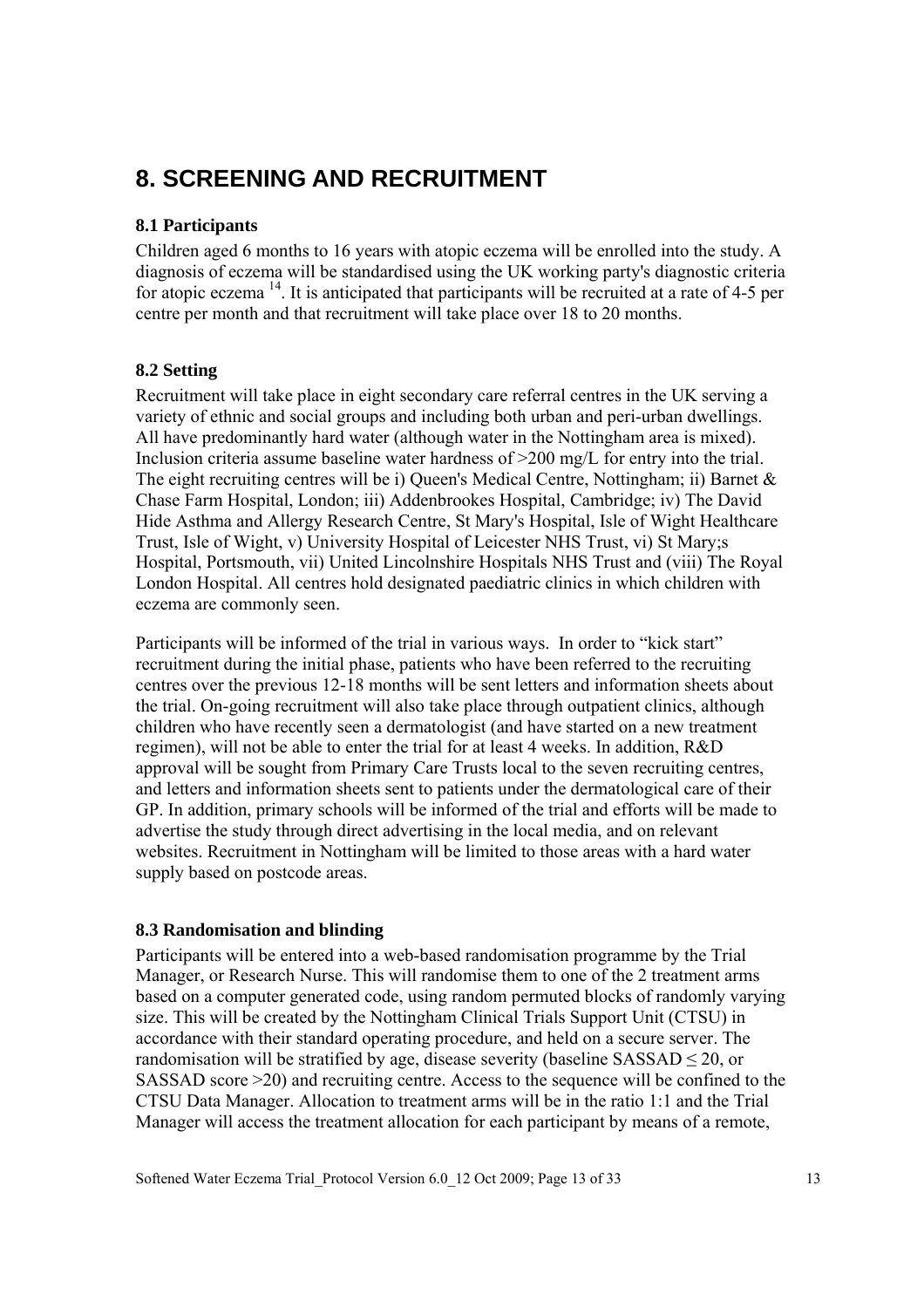# **8. SCREENING AND RECRUITMENT**

### **8.1 Participants**

Children aged 6 months to 16 years with atopic eczema will be enrolled into the study. A diagnosis of eczema will be standardised using the UK working party's diagnostic criteria for atopic eczema  $14$ . It is anticipated that participants will be recruited at a rate of 4-5 per centre per month and that recruitment will take place over 18 to 20 months.

### **8.2 Setting**

Recruitment will take place in eight secondary care referral centres in the UK serving a variety of ethnic and social groups and including both urban and peri-urban dwellings. All have predominantly hard water (although water in the Nottingham area is mixed). Inclusion criteria assume baseline water hardness of  $>200$  mg/L for entry into the trial. The eight recruiting centres will be i) Queen's Medical Centre, Nottingham; ii) Barnet & Chase Farm Hospital, London; iii) Addenbrookes Hospital, Cambridge; iv) The David Hide Asthma and Allergy Research Centre, St Mary's Hospital, Isle of Wight Healthcare Trust, Isle of Wight, v) University Hospital of Leicester NHS Trust, vi) St Mary;s Hospital, Portsmouth, vii) United Lincolnshire Hospitals NHS Trust and (viii) The Royal London Hospital. All centres hold designated paediatric clinics in which children with eczema are commonly seen.

Participants will be informed of the trial in various ways. In order to "kick start" recruitment during the initial phase, patients who have been referred to the recruiting centres over the previous 12-18 months will be sent letters and information sheets about the trial. On-going recruitment will also take place through outpatient clinics, although children who have recently seen a dermatologist (and have started on a new treatment regimen), will not be able to enter the trial for at least 4 weeks. In addition, R&D approval will be sought from Primary Care Trusts local to the seven recruiting centres, and letters and information sheets sent to patients under the dermatological care of their GP. In addition, primary schools will be informed of the trial and efforts will be made to advertise the study through direct advertising in the local media, and on relevant websites. Recruitment in Nottingham will be limited to those areas with a hard water supply based on postcode areas.

#### **8.3 Randomisation and blinding**

Participants will be entered into a web-based randomisation programme by the Trial Manager, or Research Nurse. This will randomise them to one of the 2 treatment arms based on a computer generated code, using random permuted blocks of randomly varying size. This will be created by the Nottingham Clinical Trials Support Unit (CTSU) in accordance with their standard operating procedure, and held on a secure server. The randomisation will be stratified by age, disease severity (baseline  $SASSAD \leq 20$ , or SASSAD score >20) and recruiting centre. Access to the sequence will be confined to the CTSU Data Manager. Allocation to treatment arms will be in the ratio 1:1 and the Trial Manager will access the treatment allocation for each participant by means of a remote,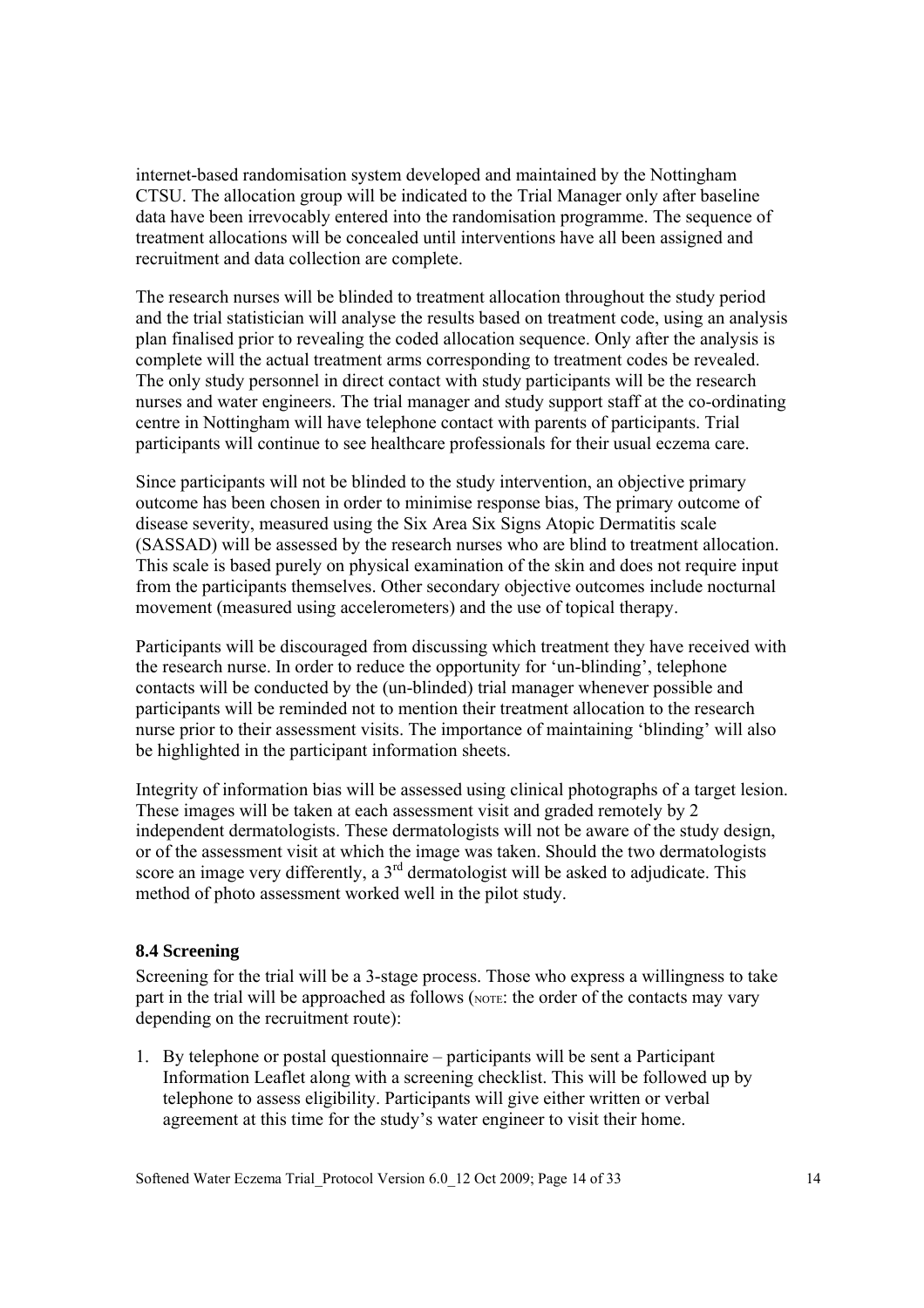internet-based randomisation system developed and maintained by the Nottingham CTSU. The allocation group will be indicated to the Trial Manager only after baseline data have been irrevocably entered into the randomisation programme. The sequence of treatment allocations will be concealed until interventions have all been assigned and recruitment and data collection are complete.

The research nurses will be blinded to treatment allocation throughout the study period and the trial statistician will analyse the results based on treatment code, using an analysis plan finalised prior to revealing the coded allocation sequence. Only after the analysis is complete will the actual treatment arms corresponding to treatment codes be revealed. The only study personnel in direct contact with study participants will be the research nurses and water engineers. The trial manager and study support staff at the co-ordinating centre in Nottingham will have telephone contact with parents of participants. Trial participants will continue to see healthcare professionals for their usual eczema care.

Since participants will not be blinded to the study intervention, an objective primary outcome has been chosen in order to minimise response bias, The primary outcome of disease severity, measured using the Six Area Six Signs Atopic Dermatitis scale (SASSAD) will be assessed by the research nurses who are blind to treatment allocation. This scale is based purely on physical examination of the skin and does not require input from the participants themselves. Other secondary objective outcomes include nocturnal movement (measured using accelerometers) and the use of topical therapy.

Participants will be discouraged from discussing which treatment they have received with the research nurse. In order to reduce the opportunity for 'un-blinding', telephone contacts will be conducted by the (un-blinded) trial manager whenever possible and participants will be reminded not to mention their treatment allocation to the research nurse prior to their assessment visits. The importance of maintaining 'blinding' will also be highlighted in the participant information sheets.

Integrity of information bias will be assessed using clinical photographs of a target lesion. These images will be taken at each assessment visit and graded remotely by 2 independent dermatologists. These dermatologists will not be aware of the study design, or of the assessment visit at which the image was taken. Should the two dermatologists score an image very differently, a  $3<sup>rd</sup>$  dermatologist will be asked to adjudicate. This method of photo assessment worked well in the pilot study.

#### **8.4 Screening**

Screening for the trial will be a 3-stage process. Those who express a willingness to take part in the trial will be approached as follows (NOTE: the order of the contacts may vary depending on the recruitment route):

1. By telephone or postal questionnaire – participants will be sent a Participant Information Leaflet along with a screening checklist. This will be followed up by telephone to assess eligibility. Participants will give either written or verbal agreement at this time for the study's water engineer to visit their home.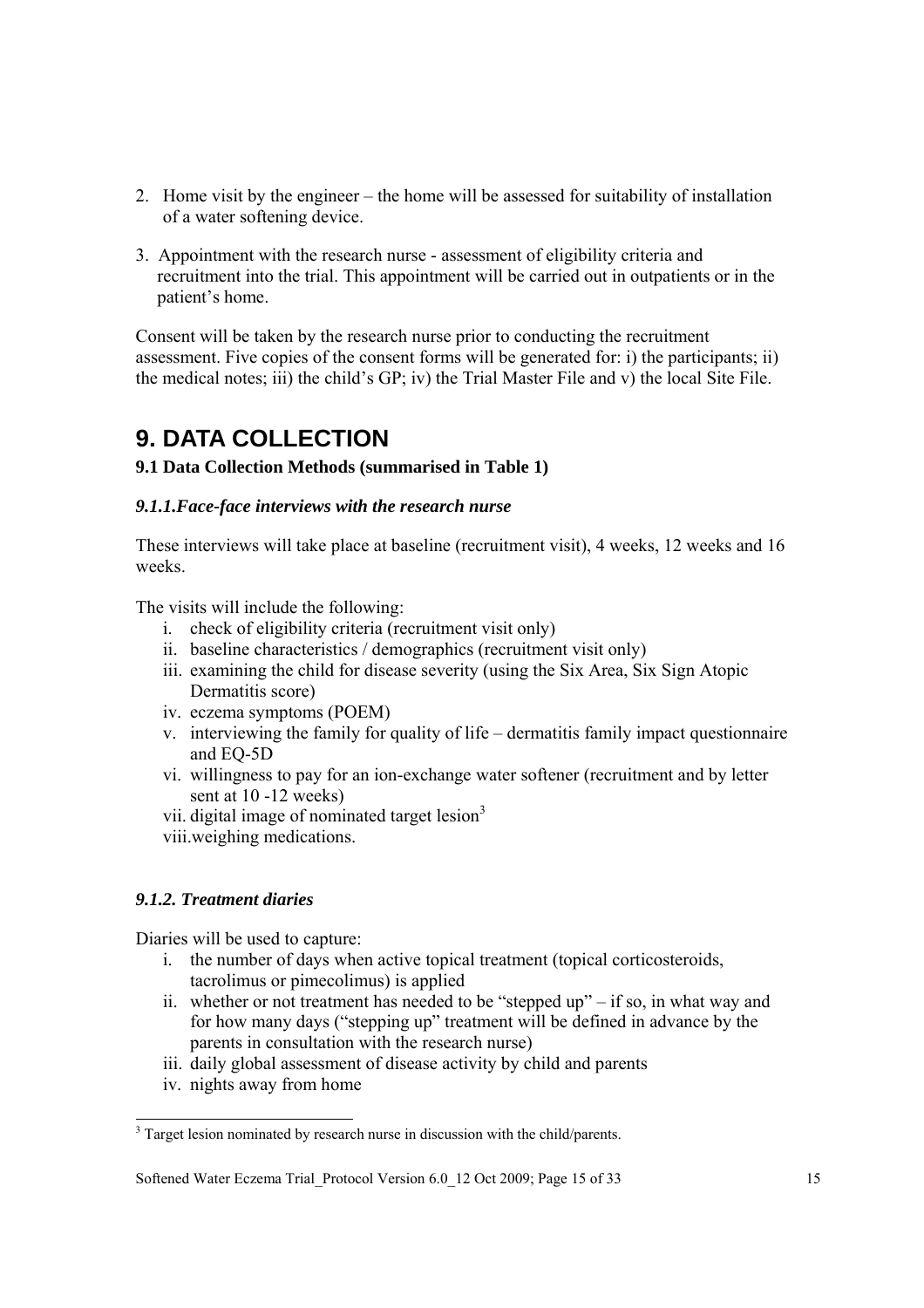- 2. Home visit by the engineer the home will be assessed for suitability of installation of a water softening device.
- 3. Appointment with the research nurse assessment of eligibility criteria and recruitment into the trial. This appointment will be carried out in outpatients or in the patient's home.

Consent will be taken by the research nurse prior to conducting the recruitment assessment. Five copies of the consent forms will be generated for: i) the participants; ii) the medical notes; iii) the child's GP; iv) the Trial Master File and v) the local Site File.

# **9. DATA COLLECTION**

### **9.1 Data Collection Methods (summarised in Table 1)**

### *9.1.1.Face-face interviews with the research nurse*

These interviews will take place at baseline (recruitment visit), 4 weeks, 12 weeks and 16 weeks.

The visits will include the following:

- i. check of eligibility criteria (recruitment visit only)
- ii. baseline characteristics / demographics (recruitment visit only)
- iii. examining the child for disease severity (using the Six Area, Six Sign Atopic Dermatitis score)
- iv. eczema symptoms (POEM)
- v. interviewing the family for quality of life dermatitis family impact questionnaire and EQ-5D
- vi. willingness to pay for an ion-exchange water softener (recruitment and by letter sent at 10 -12 weeks)
- vii. digital image of nominated target lesion<sup>3</sup>
- viii.weighing medications.

### *9.1.2. Treatment diaries*

Diaries will be used to capture:

- i. the number of days when active topical treatment (topical corticosteroids, tacrolimus or pimecolimus) is applied
- ii. whether or not treatment has needed to be "stepped up" if so, in what way and for how many days ("stepping up" treatment will be defined in advance by the parents in consultation with the research nurse)
- iii. daily global assessment of disease activity by child and parents
- iv. nights away from home

 $\overline{a}$ 

<sup>&</sup>lt;sup>3</sup> Target lesion nominated by research nurse in discussion with the child/parents.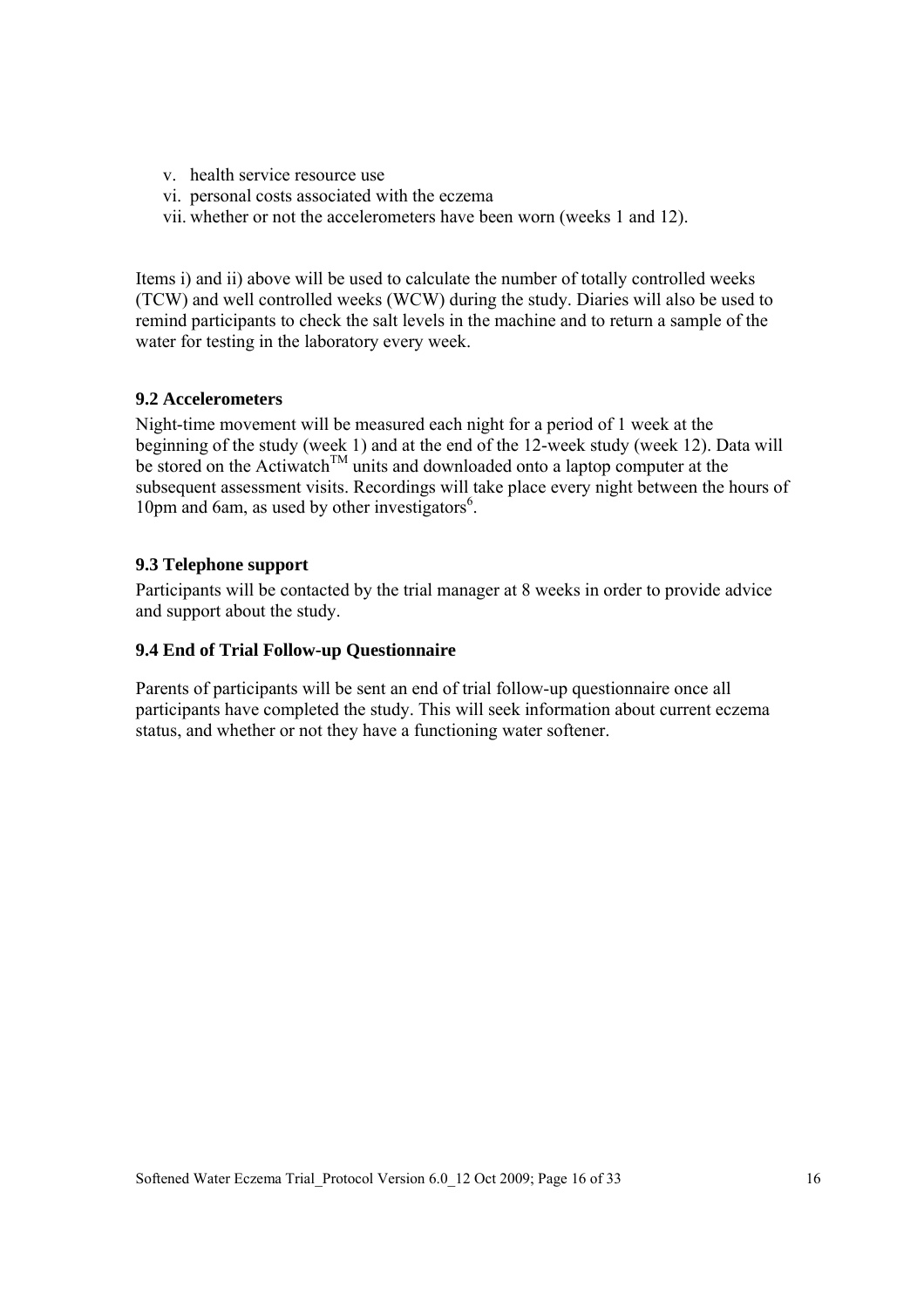- v. health service resource use
- vi. personal costs associated with the eczema
- vii. whether or not the accelerometers have been worn (weeks 1 and 12).

Items i) and ii) above will be used to calculate the number of totally controlled weeks (TCW) and well controlled weeks (WCW) during the study. Diaries will also be used to remind participants to check the salt levels in the machine and to return a sample of the water for testing in the laboratory every week.

#### **9.2 Accelerometers**

Night-time movement will be measured each night for a period of 1 week at the beginning of the study (week 1) and at the end of the 12-week study (week 12). Data will be stored on the Actiwatch<sup>TM</sup> units and downloaded onto a laptop computer at the subsequent assessment visits. Recordings will take place every night between the hours of 10pm and 6am, as used by other investigators<sup>6</sup>.

### **9.3 Telephone support**

Participants will be contacted by the trial manager at 8 weeks in order to provide advice and support about the study.

#### **9.4 End of Trial Follow-up Questionnaire**

Parents of participants will be sent an end of trial follow-up questionnaire once all participants have completed the study. This will seek information about current eczema status, and whether or not they have a functioning water softener.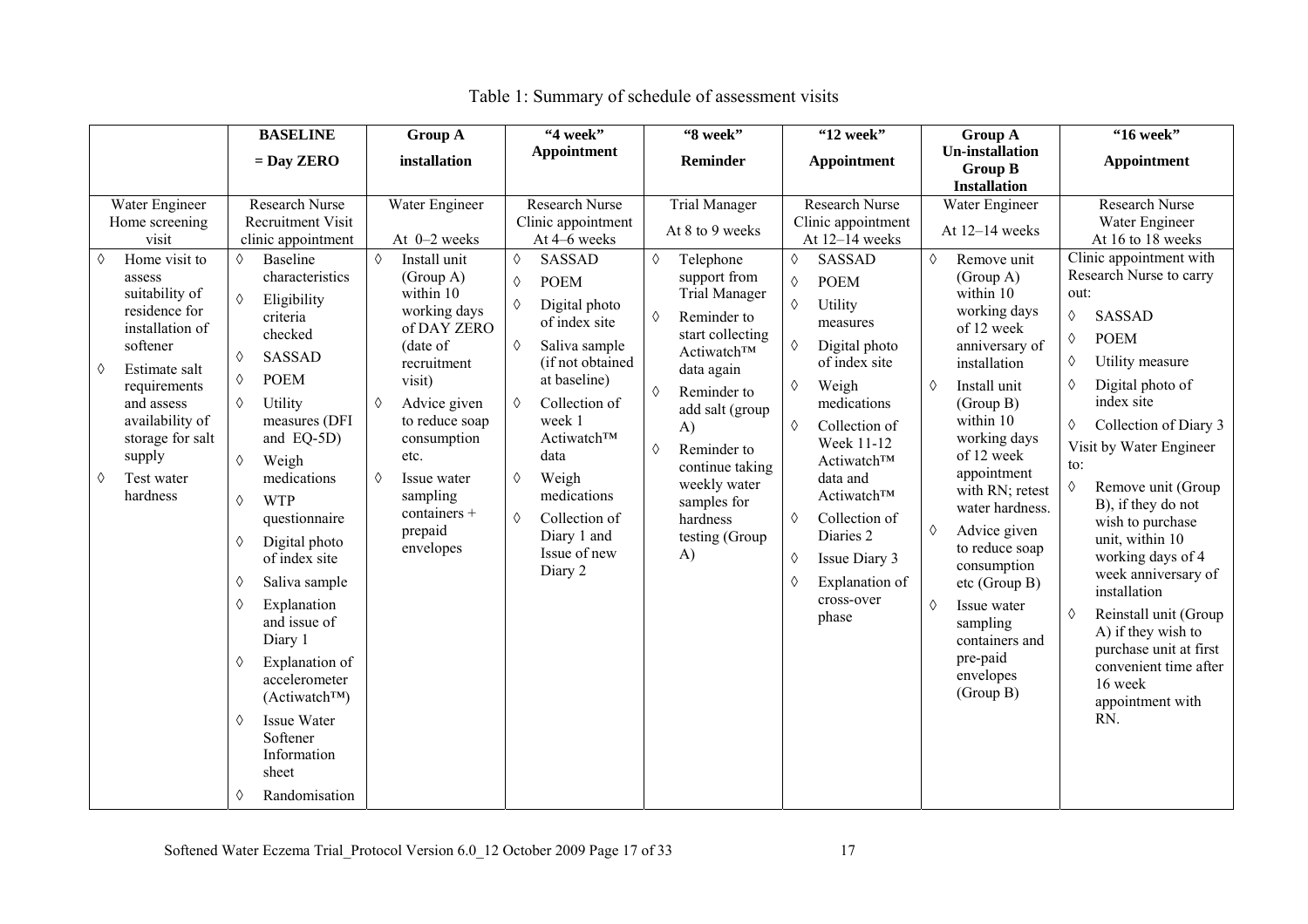|                                                                                                                                                                                                                                                                                                                                                                             | <b>BASELINE</b><br><b>Group A</b>                                                                                                                                                                                                                                                                                                                                                                                                                                                                                                                                                                                                                                                                                                                                                                     | "4 week"                                                                                                                                                                                                                                                                                                                                                                    | "8 week"                                                                                                                                                                                                                                                                                                                           | "12 week"                                                                                                                                                                                                                                                                                                                                                                           | <b>Group A</b>                                                                                                                                                                                                                                                                                                                                                                                                                                  | "16 week"                                                                                                                                                                                                                                                                                                                                                                                                                                                                                                                                                                                            |
|-----------------------------------------------------------------------------------------------------------------------------------------------------------------------------------------------------------------------------------------------------------------------------------------------------------------------------------------------------------------------------|-------------------------------------------------------------------------------------------------------------------------------------------------------------------------------------------------------------------------------------------------------------------------------------------------------------------------------------------------------------------------------------------------------------------------------------------------------------------------------------------------------------------------------------------------------------------------------------------------------------------------------------------------------------------------------------------------------------------------------------------------------------------------------------------------------|-----------------------------------------------------------------------------------------------------------------------------------------------------------------------------------------------------------------------------------------------------------------------------------------------------------------------------------------------------------------------------|------------------------------------------------------------------------------------------------------------------------------------------------------------------------------------------------------------------------------------------------------------------------------------------------------------------------------------|-------------------------------------------------------------------------------------------------------------------------------------------------------------------------------------------------------------------------------------------------------------------------------------------------------------------------------------------------------------------------------------|-------------------------------------------------------------------------------------------------------------------------------------------------------------------------------------------------------------------------------------------------------------------------------------------------------------------------------------------------------------------------------------------------------------------------------------------------|------------------------------------------------------------------------------------------------------------------------------------------------------------------------------------------------------------------------------------------------------------------------------------------------------------------------------------------------------------------------------------------------------------------------------------------------------------------------------------------------------------------------------------------------------------------------------------------------------|
|                                                                                                                                                                                                                                                                                                                                                                             | $=$ Day ZERO<br>installation                                                                                                                                                                                                                                                                                                                                                                                                                                                                                                                                                                                                                                                                                                                                                                          | <b>Appointment</b>                                                                                                                                                                                                                                                                                                                                                          | Reminder                                                                                                                                                                                                                                                                                                                           | Appointment                                                                                                                                                                                                                                                                                                                                                                         | <b>Un-installation</b><br><b>Group B</b><br><b>Installation</b>                                                                                                                                                                                                                                                                                                                                                                                 | Appointment                                                                                                                                                                                                                                                                                                                                                                                                                                                                                                                                                                                          |
| Water Engineer<br>Home screening<br>visit<br>Home visit to<br>$\Diamond$<br>♦<br>assess<br>suitability of<br>$\Diamond$<br>residence for<br>installation of<br>softener<br>♦<br>Estimate salt<br>♦<br>♦<br>requirements<br>♦<br>and assess<br>availability of<br>storage for salt<br>supply<br>$\Diamond$<br>Test water<br>♦<br>hardness<br>♦<br>♦<br>♦<br>♦<br>♦<br>♦<br>♦ | <b>Research Nurse</b><br>Water Engineer<br>Recruitment Visit<br>clinic appointment<br>At 0-2 weeks<br>$\Diamond$<br>Install unit<br>Baseline<br>characteristics<br>(Group A)<br>within 10<br>Eligibility<br>working days<br>criteria<br>of DAY ZERO<br>checked<br>(date of<br><b>SASSAD</b><br>recruitment<br><b>POEM</b><br>visit)<br>Utility<br>♦<br>Advice given<br>measures (DFI<br>to reduce soap<br>and EQ-5D)<br>consumption<br>etc.<br>Weigh<br>medications<br>♦<br>Issue water<br>sampling<br><b>WTP</b><br>containers +<br>questionnaire<br>prepaid<br>Digital photo<br>envelopes<br>of index site<br>Saliva sample<br>Explanation<br>and issue of<br>Diary 1<br>Explanation of<br>accelerometer<br>(Actiwatch™)<br><b>Issue Water</b><br>Softener<br>Information<br>sheet<br>Randomisation | <b>Research Nurse</b><br>Clinic appointment<br>At 4-6 weeks<br><b>SASSAD</b><br>$\Diamond$<br><b>POEM</b><br>♦<br>Digital photo<br>♦<br>of index site<br>$\Diamond$<br>Saliva sample<br>(if not obtained<br>at baseline)<br>Collection of<br>♦<br>week 1<br>Actiwatch™<br>data<br>Weigh<br>♦<br>medications<br>♦<br>Collection of<br>Diary 1 and<br>Issue of new<br>Diary 2 | <b>Trial Manager</b><br>At 8 to 9 weeks<br>♦<br>Telephone<br>support from<br><b>Trial Manager</b><br>Reminder to<br>♦<br>start collecting<br>Actiwatch™<br>data again<br>Reminder to<br>♦<br>add salt (group<br>A)<br>Reminder to<br>♦<br>continue taking<br>weekly water<br>samples for<br>hardness<br>testing (Group<br>$\bf{A}$ | Research Nurse<br>Clinic appointment<br>At 12-14 weeks<br><b>SASSAD</b><br>♦<br><b>POEM</b><br>♦<br>♦<br>Utility<br>measures<br>Digital photo<br>♦<br>of index site<br>Weigh<br>♦<br>medications<br>♦<br>Collection of<br>Week 11-12<br>Actiwatch™<br>data and<br>Actiwatch™<br>Collection of<br>♦<br>Diaries 2<br>Issue Diary 3<br>♦<br>Explanation of<br>♦<br>cross-over<br>phase | Water Engineer<br>At 12-14 weeks<br>♦<br>Remove unit<br>(Group A)<br>within 10<br>working days<br>of 12 week<br>anniversary of<br>installation<br>Install unit<br>♦<br>(Group B)<br>within 10<br>working days<br>of 12 week<br>appointment<br>with RN; retest<br>water hardness.<br>Advice given<br>♦<br>to reduce soap<br>consumption<br>etc (Group B)<br>♦<br>Issue water<br>sampling<br>containers and<br>pre-paid<br>envelopes<br>(Group B) | <b>Research Nurse</b><br>Water Engineer<br>At 16 to 18 weeks<br>Clinic appointment with<br>Research Nurse to carry<br>out:<br><b>SASSAD</b><br>♦<br><b>POEM</b><br>♦<br>Utility measure<br>♦<br>Digital photo of<br>♦<br>index site<br>Collection of Diary 3<br>♦<br>Visit by Water Engineer<br>to:<br>♦<br>Remove unit (Group<br>B), if they do not<br>wish to purchase<br>unit, within 10<br>working days of 4<br>week anniversary of<br>installation<br>Reinstall unit (Group<br>♦<br>A) if they wish to<br>purchase unit at first<br>convenient time after<br>16 week<br>appointment with<br>RN. |

# Table 1: Summary of schedule of assessment visits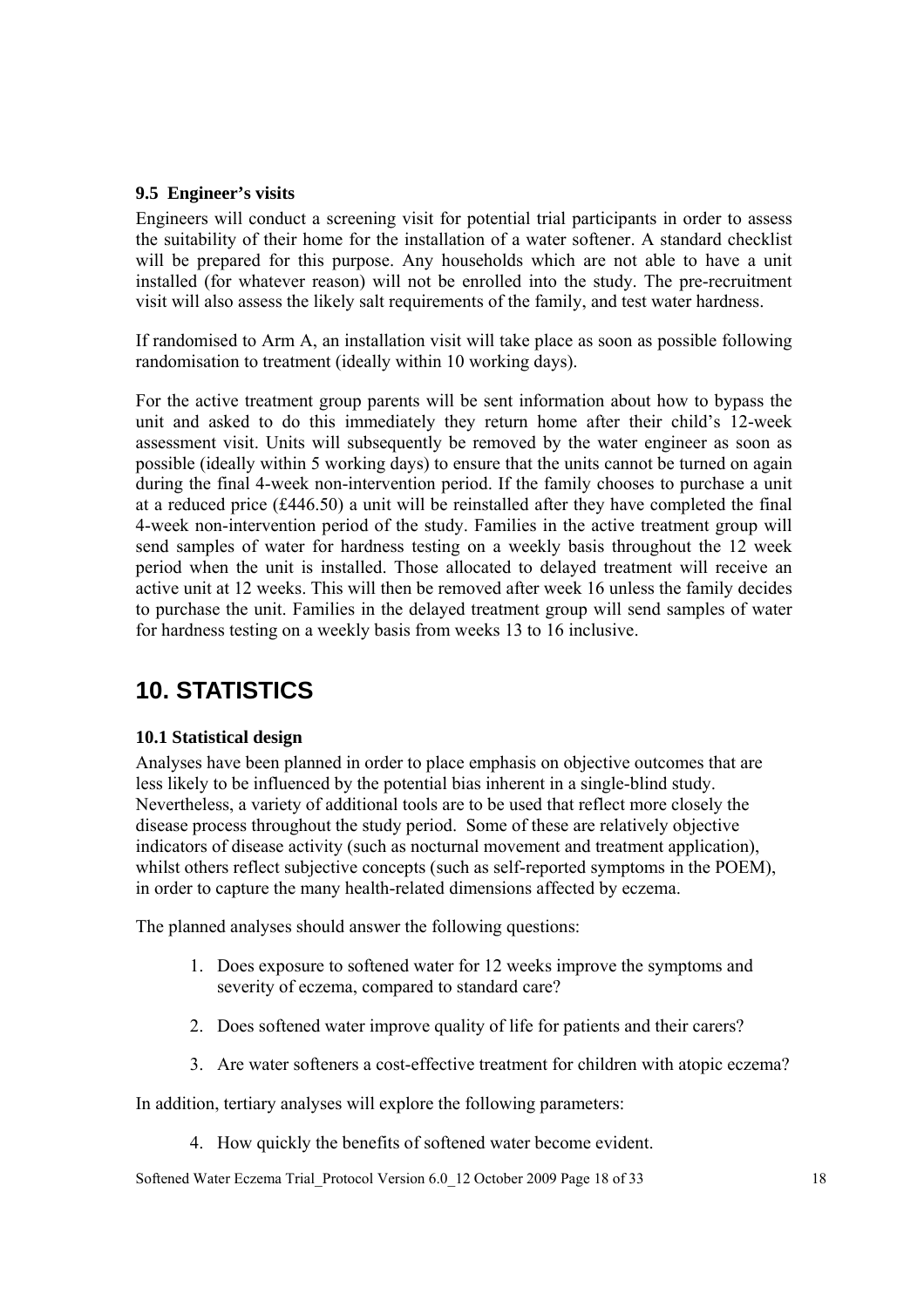#### **9.5 Engineer's visits**

Engineers will conduct a screening visit for potential trial participants in order to assess the suitability of their home for the installation of a water softener. A standard checklist will be prepared for this purpose. Any households which are not able to have a unit installed (for whatever reason) will not be enrolled into the study. The pre-recruitment visit will also assess the likely salt requirements of the family, and test water hardness.

If randomised to Arm A, an installation visit will take place as soon as possible following randomisation to treatment (ideally within 10 working days).

For the active treatment group parents will be sent information about how to bypass the unit and asked to do this immediately they return home after their child's 12-week assessment visit. Units will subsequently be removed by the water engineer as soon as possible (ideally within 5 working days) to ensure that the units cannot be turned on again during the final 4-week non-intervention period. If the family chooses to purchase a unit at a reduced price (£446.50) a unit will be reinstalled after they have completed the final 4-week non-intervention period of the study. Families in the active treatment group will send samples of water for hardness testing on a weekly basis throughout the 12 week period when the unit is installed. Those allocated to delayed treatment will receive an active unit at 12 weeks. This will then be removed after week 16 unless the family decides to purchase the unit. Families in the delayed treatment group will send samples of water for hardness testing on a weekly basis from weeks 13 to 16 inclusive.

# **10. STATISTICS**

### **10.1 Statistical design**

Analyses have been planned in order to place emphasis on objective outcomes that are less likely to be influenced by the potential bias inherent in a single-blind study. Nevertheless, a variety of additional tools are to be used that reflect more closely the disease process throughout the study period. Some of these are relatively objective indicators of disease activity (such as nocturnal movement and treatment application), whilst others reflect subjective concepts (such as self-reported symptoms in the POEM), in order to capture the many health-related dimensions affected by eczema.

The planned analyses should answer the following questions:

- 1. Does exposure to softened water for 12 weeks improve the symptoms and severity of eczema, compared to standard care?
- 2. Does softened water improve quality of life for patients and their carers?
- 3. Are water softeners a cost-effective treatment for children with atopic eczema?

In addition, tertiary analyses will explore the following parameters:

4. How quickly the benefits of softened water become evident.

Softened Water Eczema Trial\_Protocol Version 6.0\_12 October 2009 Page 18 of 33 18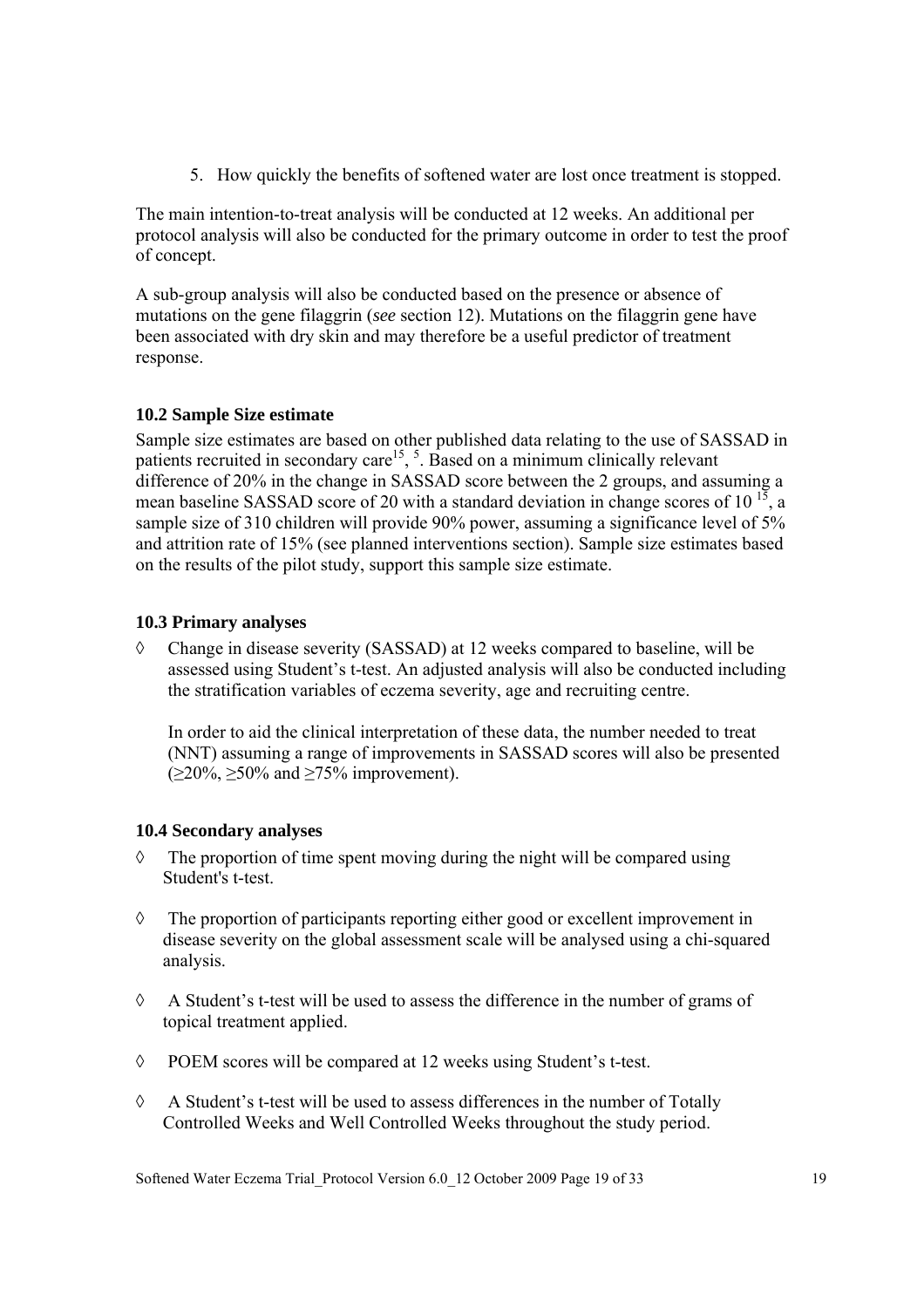5. How quickly the benefits of softened water are lost once treatment is stopped.

The main intention-to-treat analysis will be conducted at 12 weeks. An additional per protocol analysis will also be conducted for the primary outcome in order to test the proof of concept.

A sub-group analysis will also be conducted based on the presence or absence of mutations on the gene filaggrin (*see* section 12). Mutations on the filaggrin gene have been associated with dry skin and may therefore be a useful predictor of treatment response.

### **10.2 Sample Size estimate**

Sample size estimates are based on other published data relating to the use of SASSAD in patients recruited in secondary care<sup>15</sup>,  $\overline{5}$ . Based on a minimum clinically relevant difference of 20% in the change in SASSAD score between the 2 groups, and assuming a mean baseline SASSAD score of 20 with a standard deviation in change scores of  $10^{-15}$ , a sample size of 310 children will provide 90% power, assuming a significance level of 5% and attrition rate of 15% (see planned interventions section). Sample size estimates based on the results of the pilot study, support this sample size estimate.

### **10.3 Primary analyses**

◊ Change in disease severity (SASSAD) at 12 weeks compared to baseline, will be assessed using Student's t-test. An adjusted analysis will also be conducted including the stratification variables of eczema severity, age and recruiting centre.

In order to aid the clinical interpretation of these data, the number needed to treat (NNT) assuming a range of improvements in SASSAD scores will also be presented  $(\geq 20\%, \geq 50\%$  and  $\geq 75\%$  improvement).

#### **10.4 Secondary analyses**

- ◊ The proportion of time spent moving during the night will be compared using Student's t-test.
- ◊ The proportion of participants reporting either good or excellent improvement in disease severity on the global assessment scale will be analysed using a chi-squared analysis.
- ◊ A Student's t-test will be used to assess the difference in the number of grams of topical treatment applied.
- ◊ POEM scores will be compared at 12 weeks using Student's t-test.
- $\Diamond$  A Student's t-test will be used to assess differences in the number of Totally Controlled Weeks and Well Controlled Weeks throughout the study period.

Softened Water Eczema Trial\_Protocol Version 6.0\_12 October 2009 Page 19 of 33 19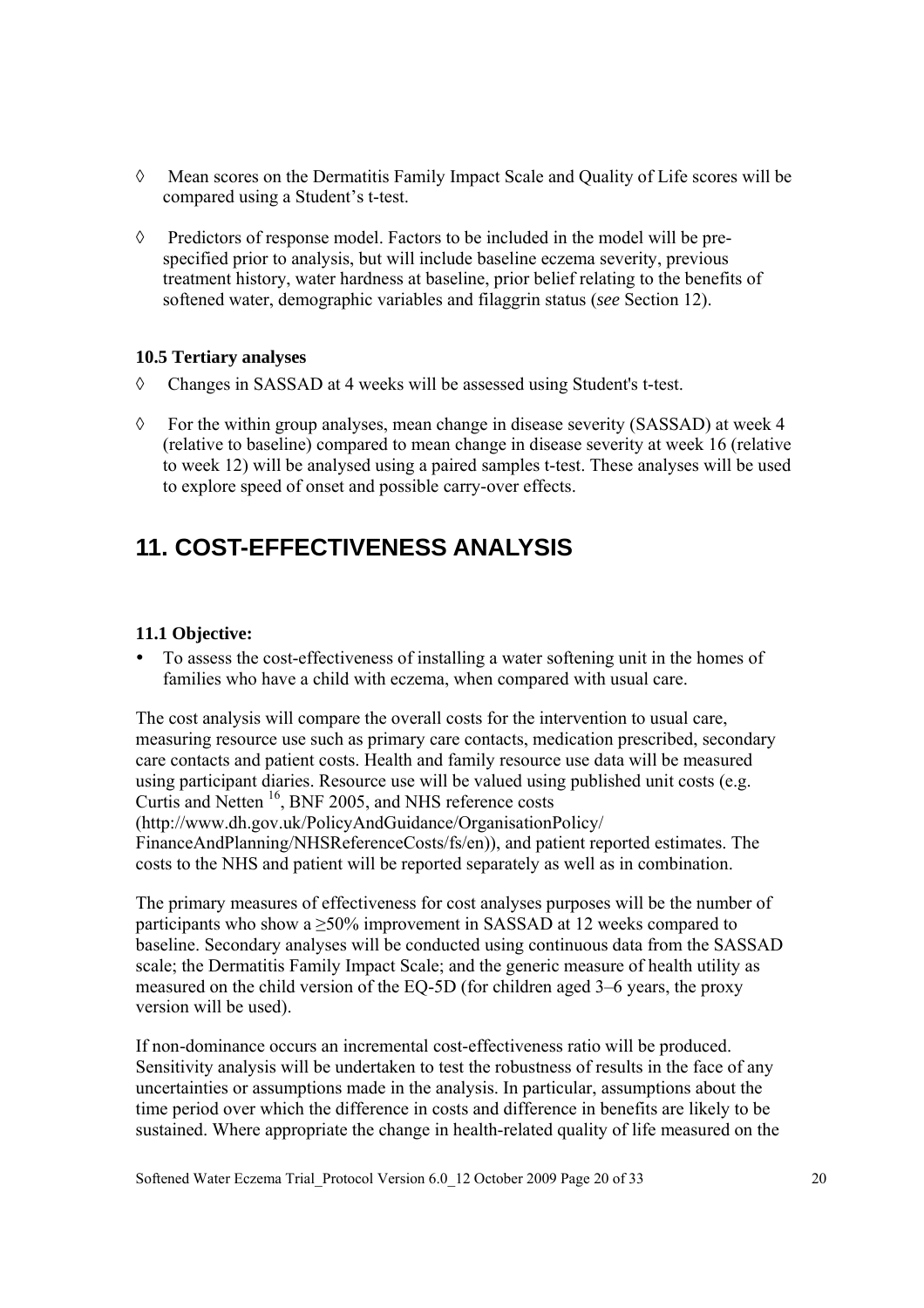- ◊ Mean scores on the Dermatitis Family Impact Scale and Quality of Life scores will be compared using a Student's t-test.
- $\Diamond$  Predictors of response model. Factors to be included in the model will be prespecified prior to analysis, but will include baseline eczema severity, previous treatment history, water hardness at baseline, prior belief relating to the benefits of softened water, demographic variables and filaggrin status (*see* Section 12).

### **10.5 Tertiary analyses**

- ◊ Changes in SASSAD at 4 weeks will be assessed using Student's t-test.
- ◊ For the within group analyses, mean change in disease severity (SASSAD) at week 4 (relative to baseline) compared to mean change in disease severity at week 16 (relative to week 12) will be analysed using a paired samples t-test. These analyses will be used to explore speed of onset and possible carry-over effects.

# **11. COST-EFFECTIVENESS ANALYSIS**

### **11.1 Objective:**

• To assess the cost-effectiveness of installing a water softening unit in the homes of families who have a child with eczema, when compared with usual care.

The cost analysis will compare the overall costs for the intervention to usual care, measuring resource use such as primary care contacts, medication prescribed, secondary care contacts and patient costs. Health and family resource use data will be measured using participant diaries. Resource use will be valued using published unit costs (e.g. Curtis and Netten 16, BNF 2005, and NHS reference costs (http://www.dh.gov.uk/PolicyAndGuidance/OrganisationPolicy/ FinanceAndPlanning/NHSReferenceCosts/fs/en)), and patient reported estimates. The costs to the NHS and patient will be reported separately as well as in combination.

The primary measures of effectiveness for cost analyses purposes will be the number of participants who show a  $\geq$ 50% improvement in SASSAD at 12 weeks compared to baseline. Secondary analyses will be conducted using continuous data from the SASSAD scale; the Dermatitis Family Impact Scale; and the generic measure of health utility as measured on the child version of the EQ-5D (for children aged 3–6 years, the proxy version will be used).

If non-dominance occurs an incremental cost-effectiveness ratio will be produced. Sensitivity analysis will be undertaken to test the robustness of results in the face of any uncertainties or assumptions made in the analysis. In particular, assumptions about the time period over which the difference in costs and difference in benefits are likely to be sustained. Where appropriate the change in health-related quality of life measured on the

Softened Water Eczema Trial\_Protocol Version 6.0\_12 October 2009 Page 20 of 33 20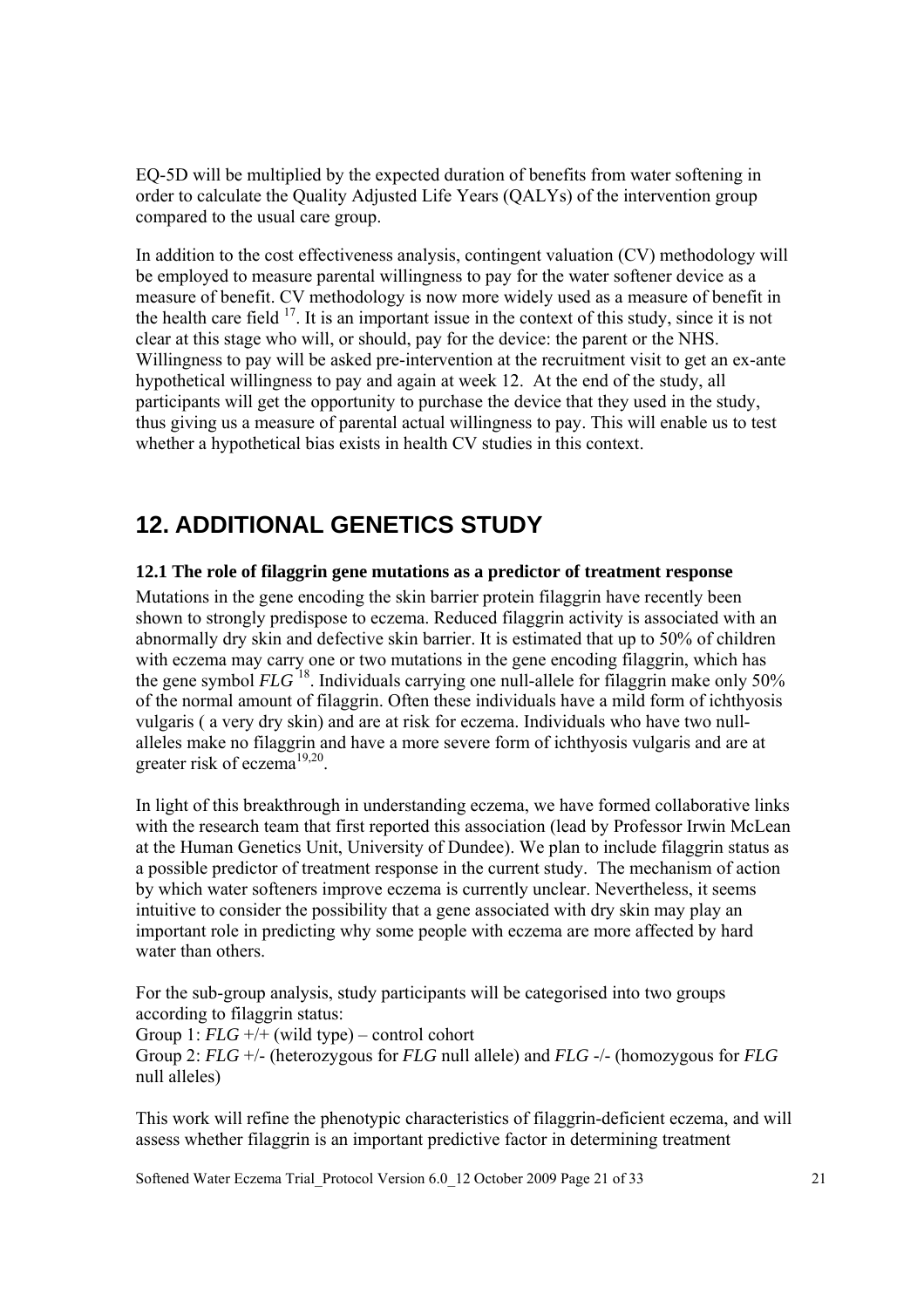EQ-5D will be multiplied by the expected duration of benefits from water softening in order to calculate the Quality Adjusted Life Years (QALYs) of the intervention group compared to the usual care group.

In addition to the cost effectiveness analysis, contingent valuation (CV) methodology will be employed to measure parental willingness to pay for the water softener device as a measure of benefit. CV methodology is now more widely used as a measure of benefit in the health care field  $17$ . It is an important issue in the context of this study, since it is not clear at this stage who will, or should, pay for the device: the parent or the NHS. Willingness to pay will be asked pre-intervention at the recruitment visit to get an ex-ante hypothetical willingness to pay and again at week 12. At the end of the study, all participants will get the opportunity to purchase the device that they used in the study, thus giving us a measure of parental actual willingness to pay. This will enable us to test whether a hypothetical bias exists in health CV studies in this context.

# **12. ADDITIONAL GENETICS STUDY**

#### **12.1 The role of filaggrin gene mutations as a predictor of treatment response**

Mutations in the gene encoding the skin barrier protein filaggrin have recently been shown to strongly predispose to eczema. Reduced filaggrin activity is associated with an abnormally dry skin and defective skin barrier. It is estimated that up to 50% of children with eczema may carry one or two mutations in the gene encoding filaggrin, which has the gene symbol  $FLG$ <sup>18</sup>. Individuals carrying one null-allele for filaggrin make only 50% of the normal amount of filaggrin. Often these individuals have a mild form of ichthyosis vulgaris ( a very dry skin) and are at risk for eczema. Individuals who have two nullalleles make no filaggrin and have a more severe form of ichthyosis vulgaris and are at greater risk of eczema<sup>19,20</sup>.

In light of this breakthrough in understanding eczema, we have formed collaborative links with the research team that first reported this association (lead by Professor Irwin McLean at the Human Genetics Unit, University of Dundee). We plan to include filaggrin status as a possible predictor of treatment response in the current study. The mechanism of action by which water softeners improve eczema is currently unclear. Nevertheless, it seems intuitive to consider the possibility that a gene associated with dry skin may play an important role in predicting why some people with eczema are more affected by hard water than others.

For the sub-group analysis, study participants will be categorised into two groups according to filaggrin status:

Group 1: *FLG* +/+ (wild type) – control cohort Group 2: *FLG* +/- (heterozygous for *FLG* null allele) and *FLG* -/- (homozygous for *FLG* null alleles)

This work will refine the phenotypic characteristics of filaggrin-deficient eczema, and will assess whether filaggrin is an important predictive factor in determining treatment

Softened Water Eczema Trial\_Protocol Version 6.0\_12 October 2009 Page 21 of 33 21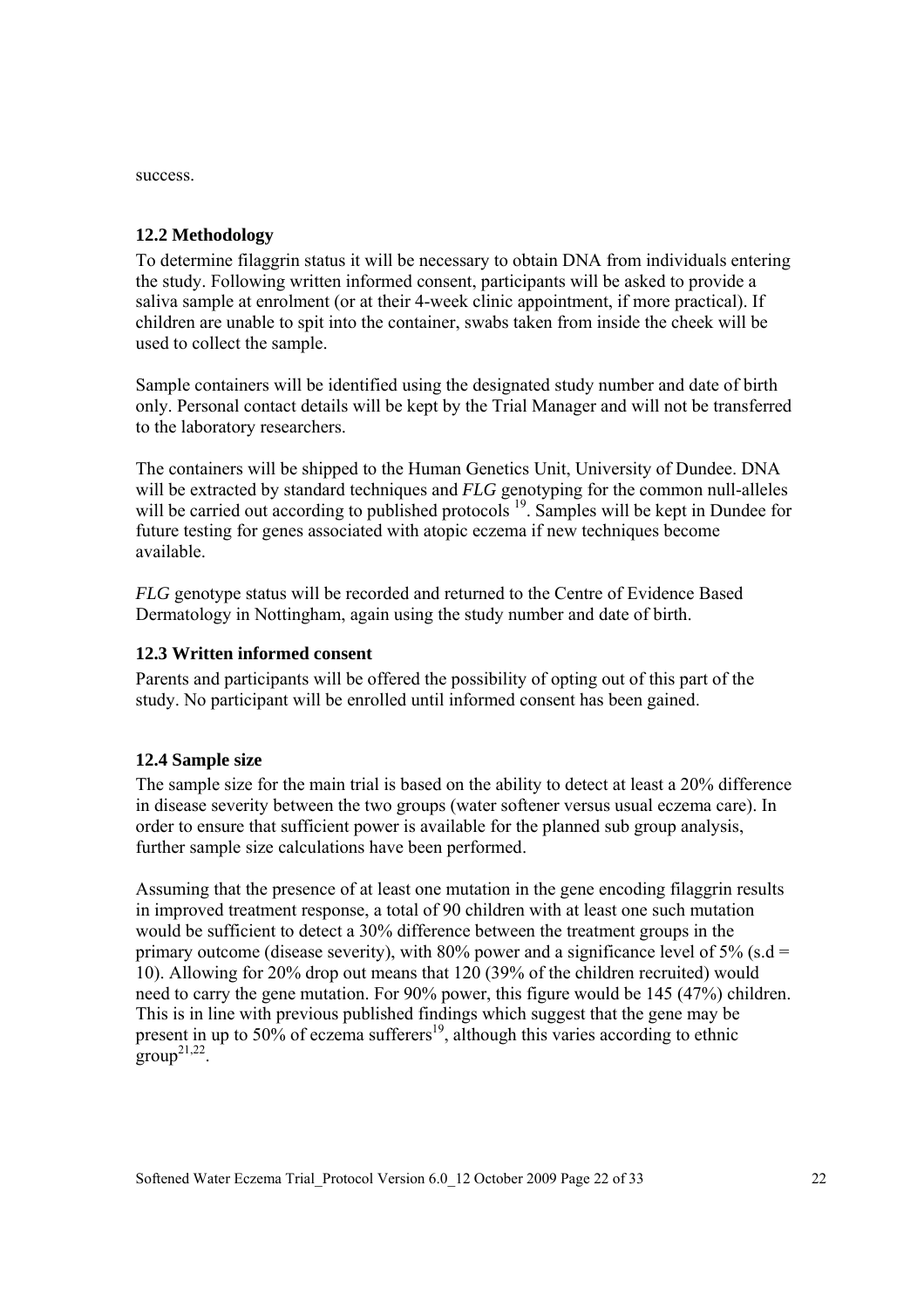success.

### **12.2 Methodology**

To determine filaggrin status it will be necessary to obtain DNA from individuals entering the study. Following written informed consent, participants will be asked to provide a saliva sample at enrolment (or at their 4-week clinic appointment, if more practical). If children are unable to spit into the container, swabs taken from inside the cheek will be used to collect the sample.

Sample containers will be identified using the designated study number and date of birth only. Personal contact details will be kept by the Trial Manager and will not be transferred to the laboratory researchers.

The containers will be shipped to the Human Genetics Unit, University of Dundee. DNA will be extracted by standard techniques and *FLG* genotyping for the common null-alleles will be carried out according to published protocols <sup>19</sup>. Samples will be kept in Dundee for future testing for genes associated with atopic eczema if new techniques become available.

*FLG* genotype status will be recorded and returned to the Centre of Evidence Based Dermatology in Nottingham, again using the study number and date of birth.

### **12.3 Written informed consent**

Parents and participants will be offered the possibility of opting out of this part of the study. No participant will be enrolled until informed consent has been gained.

### **12.4 Sample size**

The sample size for the main trial is based on the ability to detect at least a 20% difference in disease severity between the two groups (water softener versus usual eczema care). In order to ensure that sufficient power is available for the planned sub group analysis, further sample size calculations have been performed.

Assuming that the presence of at least one mutation in the gene encoding filaggrin results in improved treatment response, a total of 90 children with at least one such mutation would be sufficient to detect a 30% difference between the treatment groups in the primary outcome (disease severity), with 80% power and a significance level of 5% (s.d = 10). Allowing for 20% drop out means that 120 (39% of the children recruited) would need to carry the gene mutation. For 90% power, this figure would be 145 (47%) children. This is in line with previous published findings which suggest that the gene may be present in up to 50% of eczema sufferers<sup>19</sup>, although this varies according to ethnic  $\text{group}^{21,22}$ .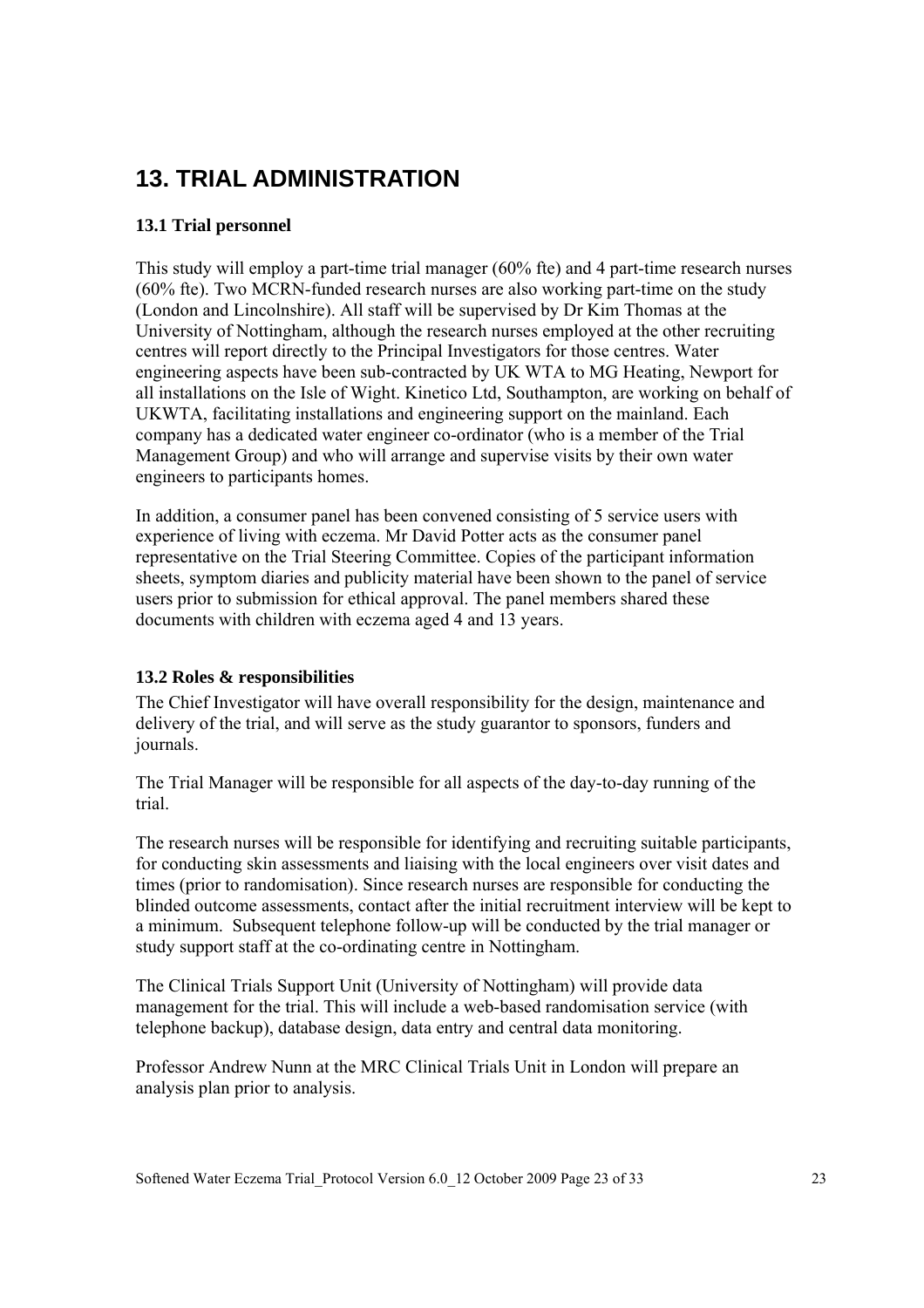# **13. TRIAL ADMINISTRATION**

### **13.1 Trial personnel**

This study will employ a part-time trial manager (60% fte) and 4 part-time research nurses (60% fte). Two MCRN-funded research nurses are also working part-time on the study (London and Lincolnshire). All staff will be supervised by Dr Kim Thomas at the University of Nottingham, although the research nurses employed at the other recruiting centres will report directly to the Principal Investigators for those centres. Water engineering aspects have been sub-contracted by UK WTA to MG Heating, Newport for all installations on the Isle of Wight. Kinetico Ltd, Southampton, are working on behalf of UKWTA, facilitating installations and engineering support on the mainland. Each company has a dedicated water engineer co-ordinator (who is a member of the Trial Management Group) and who will arrange and supervise visits by their own water engineers to participants homes.

In addition, a consumer panel has been convened consisting of 5 service users with experience of living with eczema. Mr David Potter acts as the consumer panel representative on the Trial Steering Committee. Copies of the participant information sheets, symptom diaries and publicity material have been shown to the panel of service users prior to submission for ethical approval. The panel members shared these documents with children with eczema aged 4 and 13 years.

### **13.2 Roles & responsibilities**

The Chief Investigator will have overall responsibility for the design, maintenance and delivery of the trial, and will serve as the study guarantor to sponsors, funders and journals.

The Trial Manager will be responsible for all aspects of the day-to-day running of the trial.

The research nurses will be responsible for identifying and recruiting suitable participants, for conducting skin assessments and liaising with the local engineers over visit dates and times (prior to randomisation). Since research nurses are responsible for conducting the blinded outcome assessments, contact after the initial recruitment interview will be kept to a minimum. Subsequent telephone follow-up will be conducted by the trial manager or study support staff at the co-ordinating centre in Nottingham.

The Clinical Trials Support Unit (University of Nottingham) will provide data management for the trial. This will include a web-based randomisation service (with telephone backup), database design, data entry and central data monitoring.

Professor Andrew Nunn at the MRC Clinical Trials Unit in London will prepare an analysis plan prior to analysis.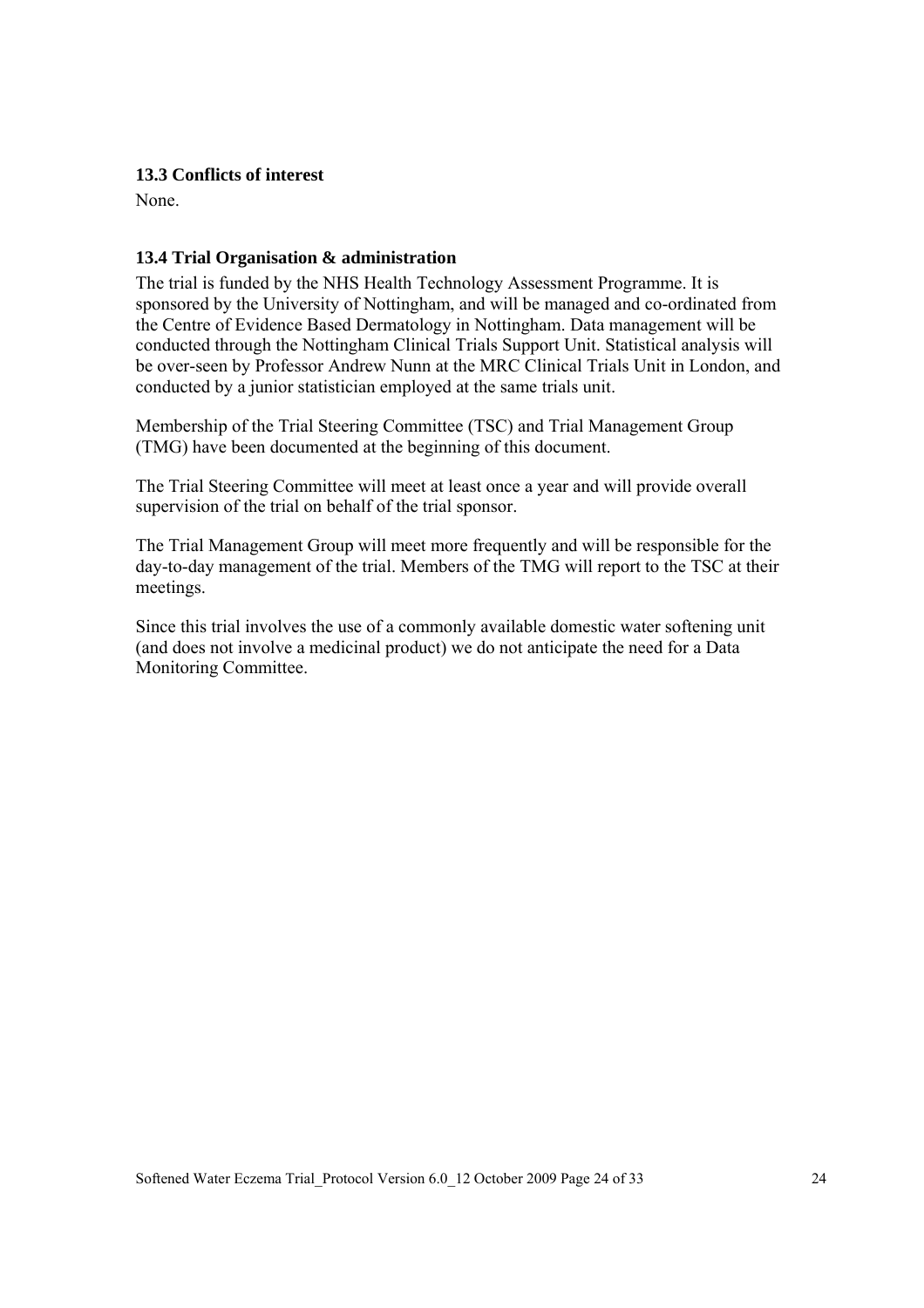#### **13.3 Conflicts of interest**

None.

### **13.4 Trial Organisation & administration**

The trial is funded by the NHS Health Technology Assessment Programme. It is sponsored by the University of Nottingham, and will be managed and co-ordinated from the Centre of Evidence Based Dermatology in Nottingham. Data management will be conducted through the Nottingham Clinical Trials Support Unit. Statistical analysis will be over-seen by Professor Andrew Nunn at the MRC Clinical Trials Unit in London, and conducted by a junior statistician employed at the same trials unit.

Membership of the Trial Steering Committee (TSC) and Trial Management Group (TMG) have been documented at the beginning of this document.

The Trial Steering Committee will meet at least once a year and will provide overall supervision of the trial on behalf of the trial sponsor.

The Trial Management Group will meet more frequently and will be responsible for the day-to-day management of the trial. Members of the TMG will report to the TSC at their meetings.

Since this trial involves the use of a commonly available domestic water softening unit (and does not involve a medicinal product) we do not anticipate the need for a Data Monitoring Committee.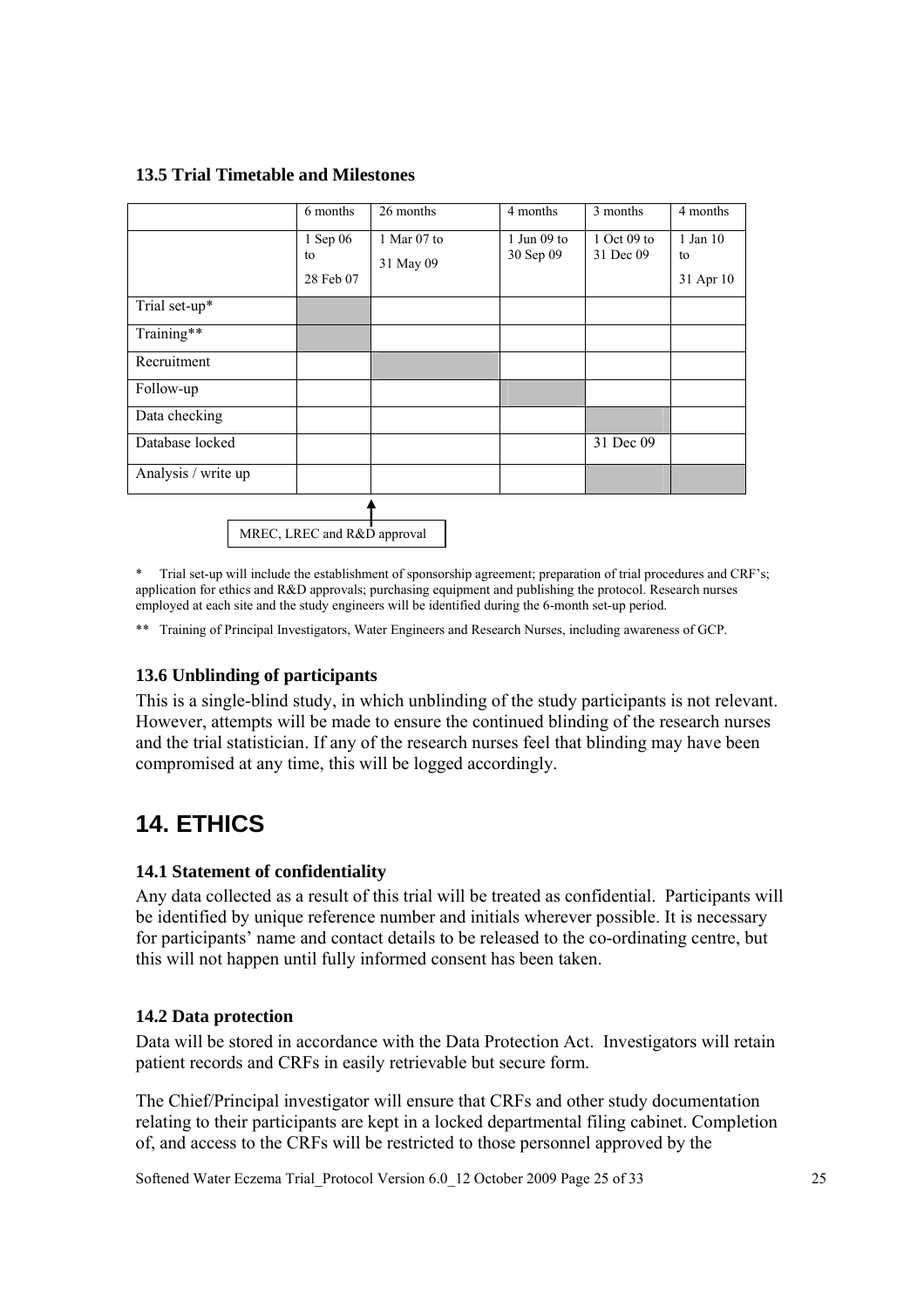#### **13.5 Trial Timetable and Milestones**

|                     | 6 months                    | 26 months                | 4 months                   | 3 months                 | 4 months                    |
|---------------------|-----------------------------|--------------------------|----------------------------|--------------------------|-----------------------------|
|                     | 1 Sep 06<br>to<br>28 Feb 07 | 1 Mar 07 to<br>31 May 09 | $1$ Jun 09 to<br>30 Sep 09 | 1 Oct 09 to<br>31 Dec 09 | 1 Jan 10<br>to<br>31 Apr 10 |
| Trial set-up*       |                             |                          |                            |                          |                             |
| Training**          |                             |                          |                            |                          |                             |
| Recruitment         |                             |                          |                            |                          |                             |
| Follow-up           |                             |                          |                            |                          |                             |
| Data checking       |                             |                          |                            |                          |                             |
| Database locked     |                             |                          |                            | 31 Dec 09                |                             |
| Analysis / write up |                             |                          |                            |                          |                             |
|                     |                             |                          |                            |                          |                             |

MREC, LREC and R&D approval

Trial set-up will include the establishment of sponsorship agreement; preparation of trial procedures and CRF's; application for ethics and R&D approvals; purchasing equipment and publishing the protocol. Research nurses employed at each site and the study engineers will be identified during the 6-month set-up period.

\*\* Training of Principal Investigators, Water Engineers and Research Nurses, including awareness of GCP.

### **13.6 Unblinding of participants**

This is a single-blind study, in which unblinding of the study participants is not relevant. However, attempts will be made to ensure the continued blinding of the research nurses and the trial statistician. If any of the research nurses feel that blinding may have been compromised at any time, this will be logged accordingly.

# **14. ETHICS**

#### **14.1 Statement of confidentiality**

Any data collected as a result of this trial will be treated as confidential. Participants will be identified by unique reference number and initials wherever possible. It is necessary for participants' name and contact details to be released to the co-ordinating centre, but this will not happen until fully informed consent has been taken.

#### **14.2 Data protection**

Data will be stored in accordance with the Data Protection Act. Investigators will retain patient records and CRFs in easily retrievable but secure form.

The Chief/Principal investigator will ensure that CRFs and other study documentation relating to their participants are kept in a locked departmental filing cabinet. Completion of, and access to the CRFs will be restricted to those personnel approved by the

Softened Water Eczema Trial\_Protocol Version 6.0\_12 October 2009 Page 25 of 33 25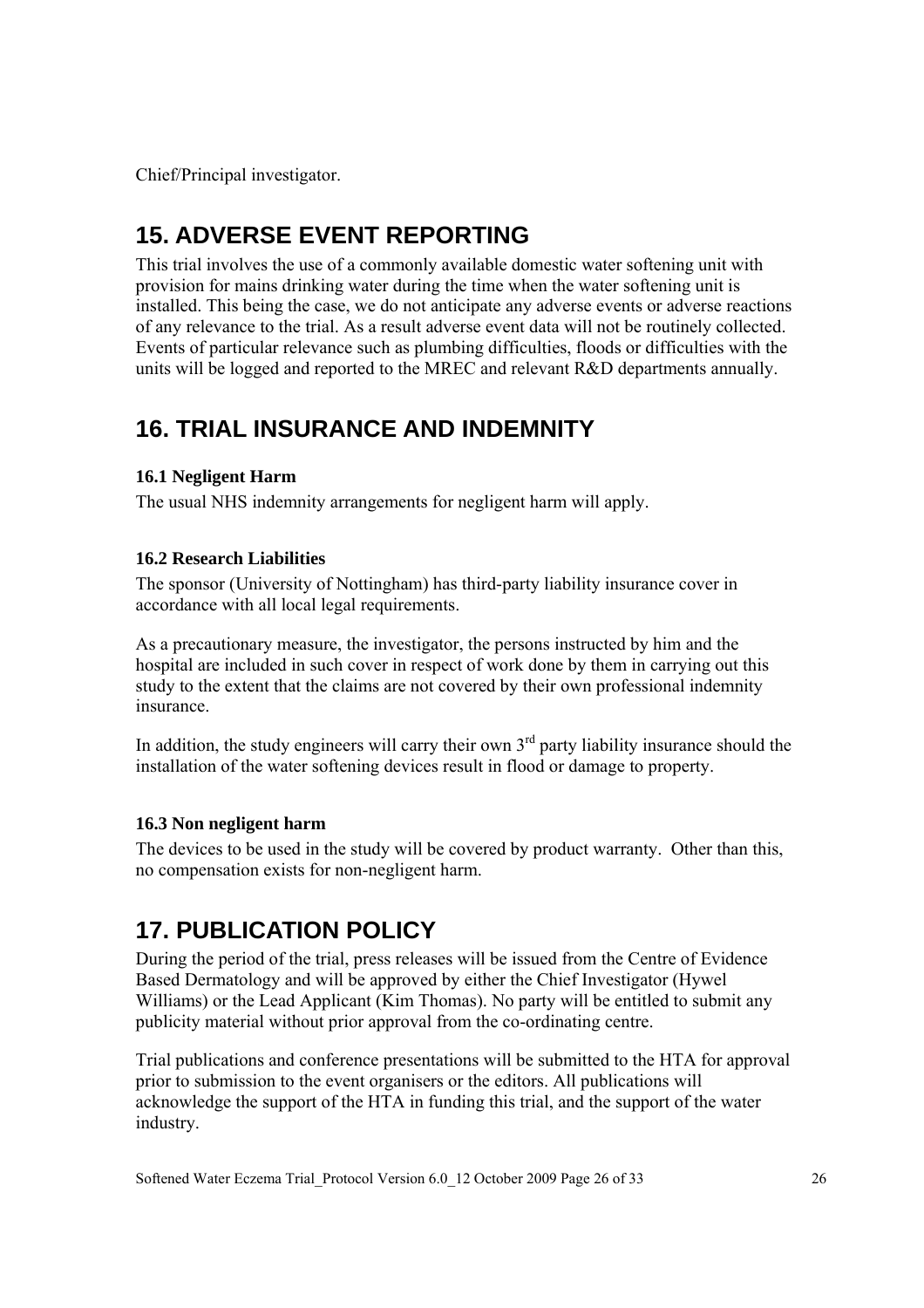Chief/Principal investigator.

# **15. ADVERSE EVENT REPORTING**

This trial involves the use of a commonly available domestic water softening unit with provision for mains drinking water during the time when the water softening unit is installed. This being the case, we do not anticipate any adverse events or adverse reactions of any relevance to the trial. As a result adverse event data will not be routinely collected. Events of particular relevance such as plumbing difficulties, floods or difficulties with the units will be logged and reported to the MREC and relevant R&D departments annually.

# **16. TRIAL INSURANCE AND INDEMNITY**

### **16.1 Negligent Harm**

The usual NHS indemnity arrangements for negligent harm will apply.

### **16.2 Research Liabilities**

The sponsor (University of Nottingham) has third-party liability insurance cover in accordance with all local legal requirements.

As a precautionary measure, the investigator, the persons instructed by him and the hospital are included in such cover in respect of work done by them in carrying out this study to the extent that the claims are not covered by their own professional indemnity insurance.

In addition, the study engineers will carry their own  $3<sup>rd</sup>$  party liability insurance should the installation of the water softening devices result in flood or damage to property.

### **16.3 Non negligent harm**

The devices to be used in the study will be covered by product warranty. Other than this, no compensation exists for non-negligent harm.

# **17. PUBLICATION POLICY**

During the period of the trial, press releases will be issued from the Centre of Evidence Based Dermatology and will be approved by either the Chief Investigator (Hywel Williams) or the Lead Applicant (Kim Thomas). No party will be entitled to submit any publicity material without prior approval from the co-ordinating centre.

Trial publications and conference presentations will be submitted to the HTA for approval prior to submission to the event organisers or the editors. All publications will acknowledge the support of the HTA in funding this trial, and the support of the water industry.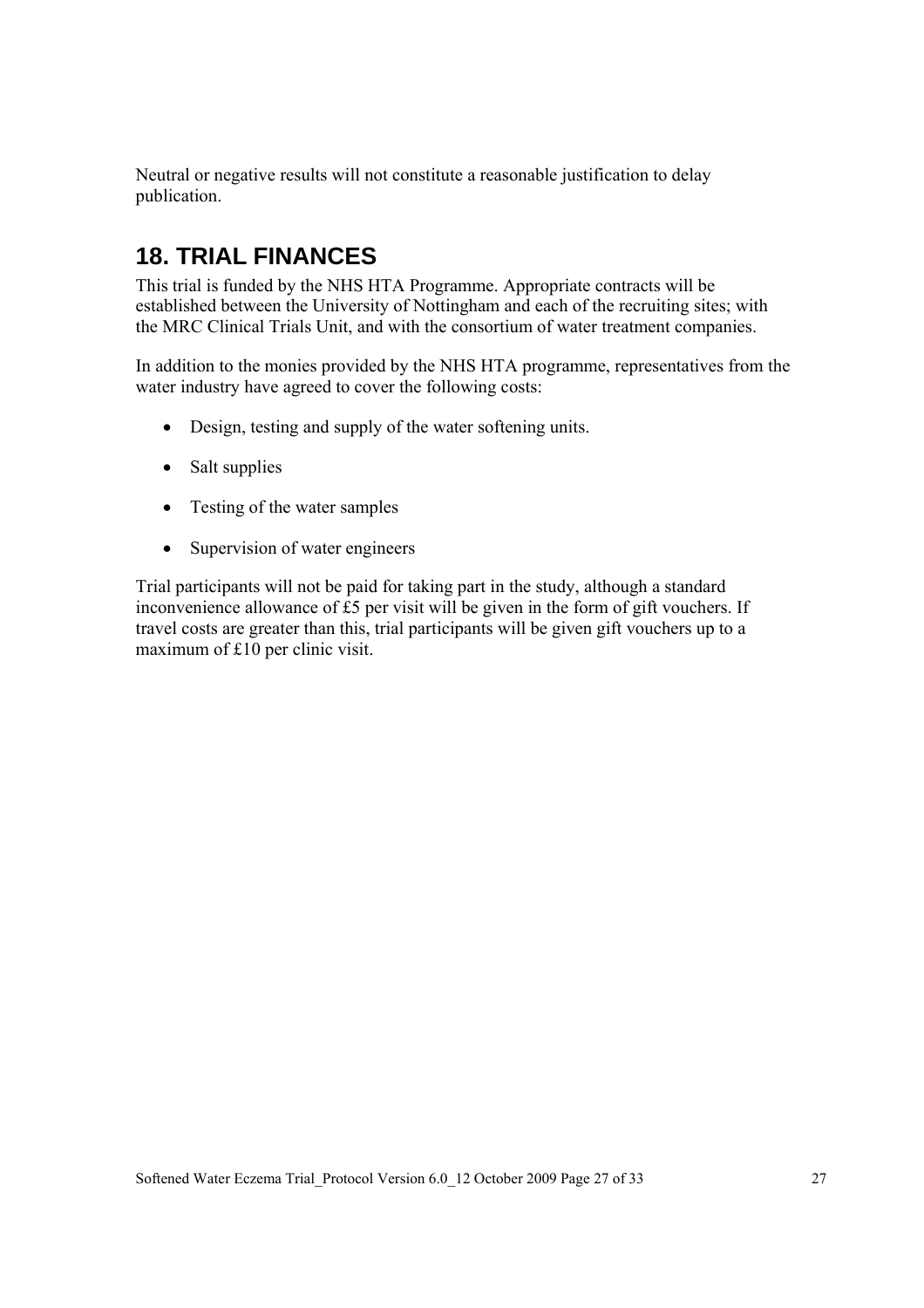Neutral or negative results will not constitute a reasonable justification to delay publication.

# **18. TRIAL FINANCES**

This trial is funded by the NHS HTA Programme. Appropriate contracts will be established between the University of Nottingham and each of the recruiting sites; with the MRC Clinical Trials Unit, and with the consortium of water treatment companies.

In addition to the monies provided by the NHS HTA programme, representatives from the water industry have agreed to cover the following costs:

- Design, testing and supply of the water softening units.
- Salt supplies
- Testing of the water samples
- Supervision of water engineers

Trial participants will not be paid for taking part in the study, although a standard inconvenience allowance of £5 per visit will be given in the form of gift vouchers. If travel costs are greater than this, trial participants will be given gift vouchers up to a maximum of £10 per clinic visit.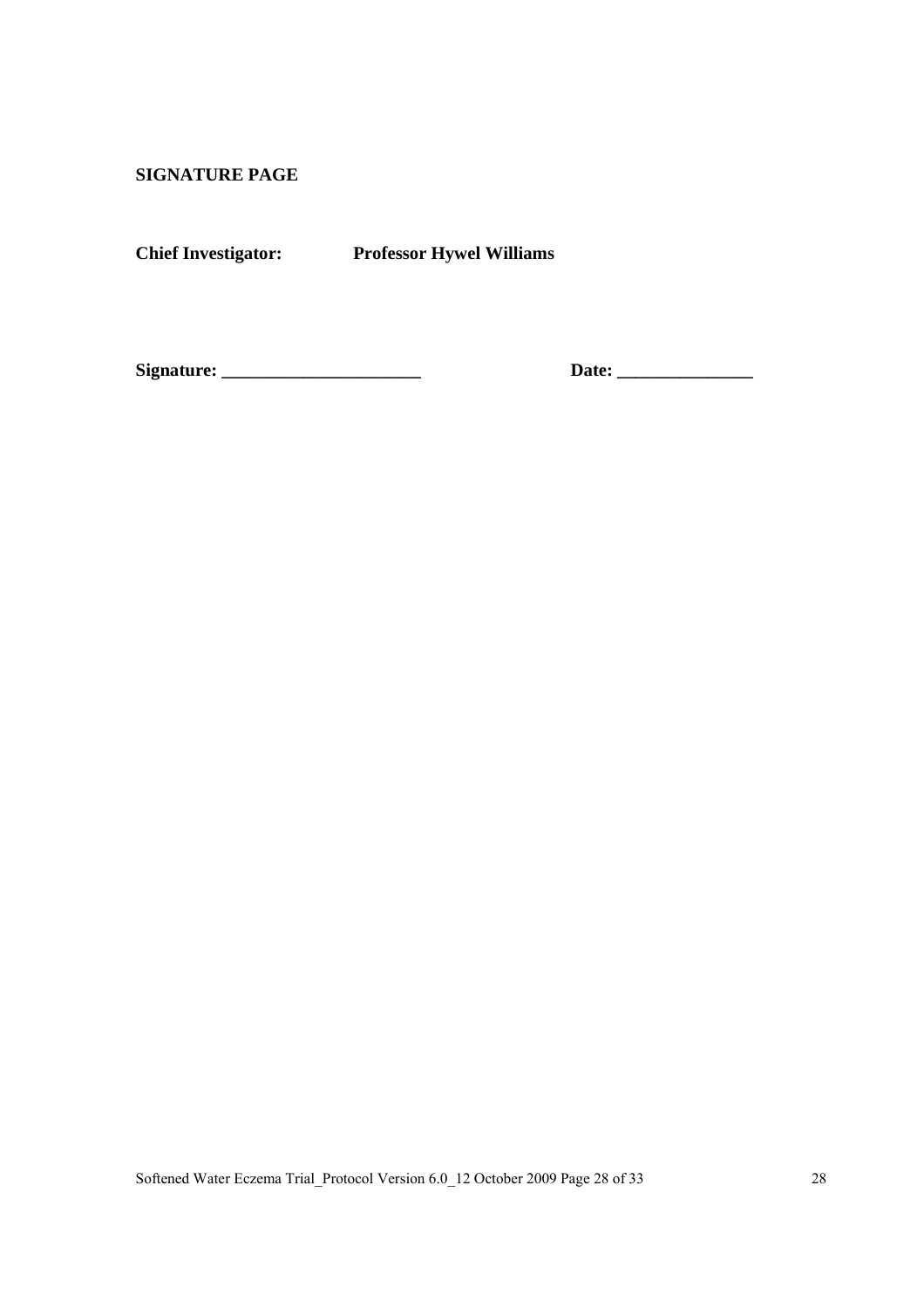**SIGNATURE PAGE** 

**Chief Investigator: Professor Hywel Williams** 

**Signature: \_\_\_\_\_\_\_\_\_\_\_\_\_\_\_\_\_\_\_\_\_\_ Date: \_\_\_\_\_\_\_\_\_\_\_\_\_\_\_**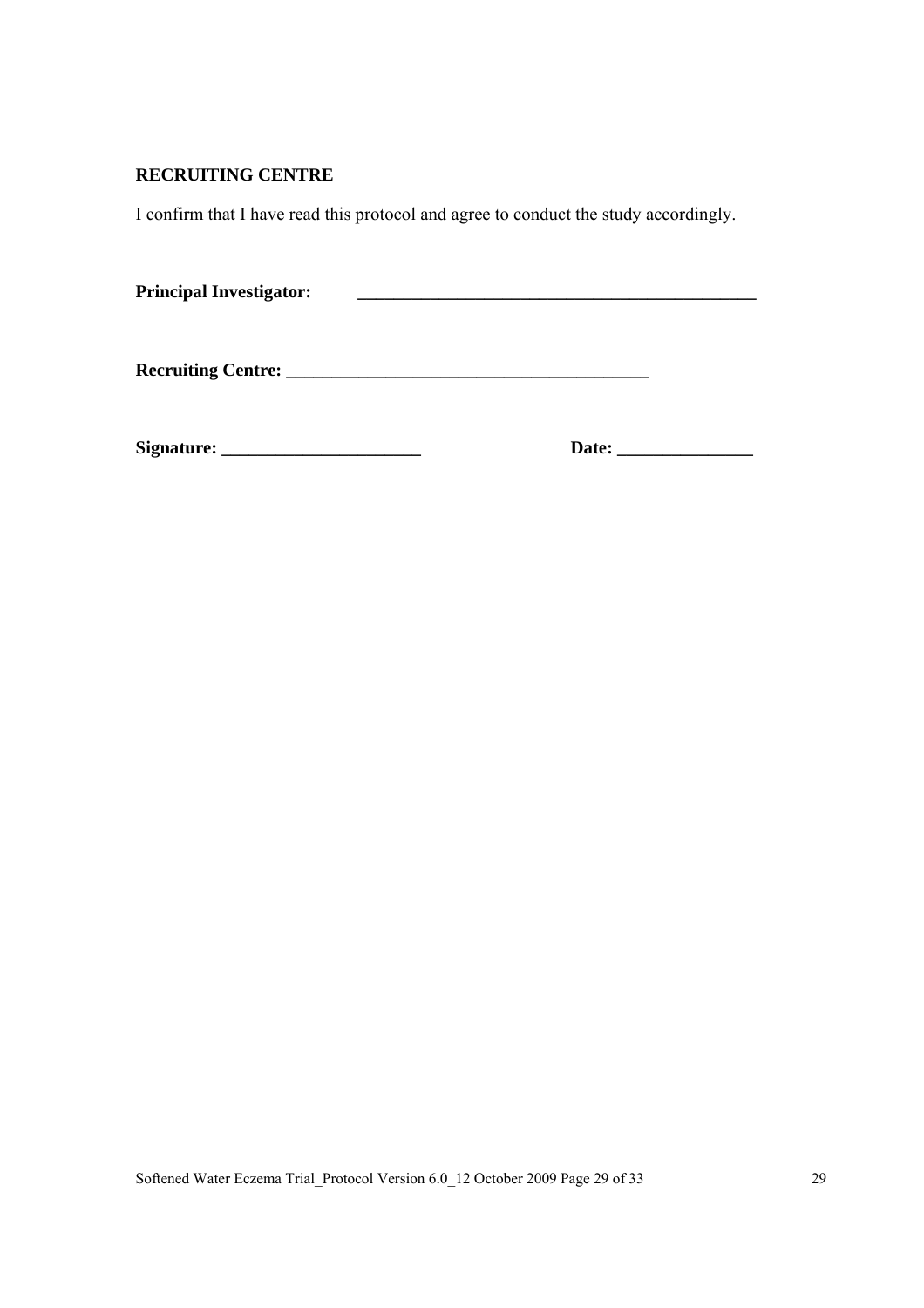### **RECRUITING CENTRE**

I confirm that I have read this protocol and agree to conduct the study accordingly.

| <b>Principal Investigator:</b> |  |
|--------------------------------|--|
|--------------------------------|--|

**Recruiting Centre: \_\_\_\_\_\_\_\_\_\_\_\_\_\_\_\_\_\_\_\_\_\_\_\_\_\_\_\_\_\_\_\_\_\_\_\_\_\_\_\_** 

**Signature: \_\_\_\_\_\_\_\_\_\_\_\_\_\_\_\_\_\_\_\_\_\_ Date: \_\_\_\_\_\_\_\_\_\_\_\_\_\_\_**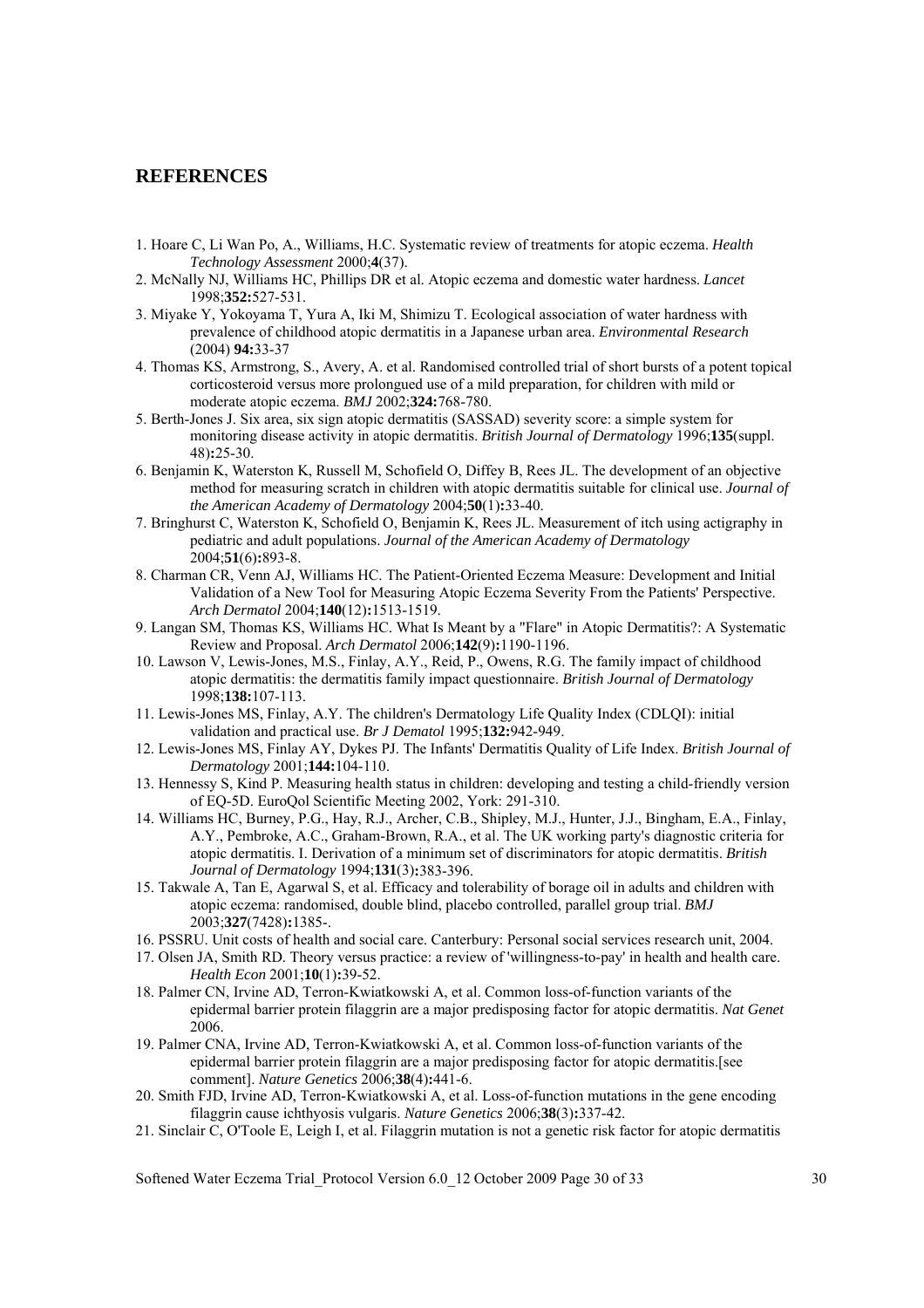#### **REFERENCES**

- 1. Hoare C, Li Wan Po, A., Williams, H.C. Systematic review of treatments for atopic eczema. *Health Technology Assessment* 2000;**4**(37).
- 2. McNally NJ, Williams HC, Phillips DR et al. Atopic eczema and domestic water hardness. *Lancet* 1998;**352:**527-531.
- 3. Miyake Y, Yokoyama T, Yura A, Iki M, Shimizu T. Ecological association of water hardness with prevalence of childhood atopic dermatitis in a Japanese urban area. *Environmental Research* (2004) **94:**33-37
- 4. Thomas KS, Armstrong, S., Avery, A. et al. Randomised controlled trial of short bursts of a potent topical corticosteroid versus more prolongued use of a mild preparation, for children with mild or moderate atopic eczema. *BMJ* 2002;**324:**768-780.
- 5. Berth-Jones J. Six area, six sign atopic dermatitis (SASSAD) severity score: a simple system for monitoring disease activity in atopic dermatitis. *British Journal of Dermatology* 1996;**135**(suppl. 48)**:**25-30.
- 6. Benjamin K, Waterston K, Russell M, Schofield O, Diffey B, Rees JL. The development of an objective method for measuring scratch in children with atopic dermatitis suitable for clinical use. *Journal of the American Academy of Dermatology* 2004;**50**(1)**:**33-40.
- 7. Bringhurst C, Waterston K, Schofield O, Benjamin K, Rees JL. Measurement of itch using actigraphy in pediatric and adult populations. *Journal of the American Academy of Dermatology* 2004;**51**(6)**:**893-8.
- 8. Charman CR, Venn AJ, Williams HC. The Patient-Oriented Eczema Measure: Development and Initial Validation of a New Tool for Measuring Atopic Eczema Severity From the Patients' Perspective. *Arch Dermatol* 2004;**140**(12)**:**1513-1519.
- 9. Langan SM, Thomas KS, Williams HC. What Is Meant by a "Flare" in Atopic Dermatitis?: A Systematic Review and Proposal. *Arch Dermatol* 2006;**142**(9)**:**1190-1196.
- 10. Lawson V, Lewis-Jones, M.S., Finlay, A.Y., Reid, P., Owens, R.G. The family impact of childhood atopic dermatitis: the dermatitis family impact questionnaire. *British Journal of Dermatology* 1998;**138:**107-113.
- 11. Lewis-Jones MS, Finlay, A.Y. The children's Dermatology Life Quality Index (CDLQI): initial validation and practical use. *Br J Dematol* 1995;**132:**942-949.
- 12. Lewis-Jones MS, Finlay AY, Dykes PJ. The Infants' Dermatitis Quality of Life Index. *British Journal of Dermatology* 2001;**144:**104-110.
- 13. Hennessy S, Kind P. Measuring health status in children: developing and testing a child-friendly version of EQ-5D. EuroQol Scientific Meeting 2002, York: 291-310.
- 14. Williams HC, Burney, P.G., Hay, R.J., Archer, C.B., Shipley, M.J., Hunter, J.J., Bingham, E.A., Finlay, A.Y., Pembroke, A.C., Graham-Brown, R.A., et al. The UK working party's diagnostic criteria for atopic dermatitis. I. Derivation of a minimum set of discriminators for atopic dermatitis. *British Journal of Dermatology* 1994;**131**(3)**:**383-396.
- 15. Takwale A, Tan E, Agarwal S, et al. Efficacy and tolerability of borage oil in adults and children with atopic eczema: randomised, double blind, placebo controlled, parallel group trial. *BMJ* 2003;**327**(7428)**:**1385-.
- 16. PSSRU. Unit costs of health and social care. Canterbury: Personal social services research unit, 2004.
- 17. Olsen JA, Smith RD. Theory versus practice: a review of 'willingness-to-pay' in health and health care. *Health Econ* 2001;**10**(1)**:**39-52.
- 18. Palmer CN, Irvine AD, Terron-Kwiatkowski A, et al. Common loss-of-function variants of the epidermal barrier protein filaggrin are a major predisposing factor for atopic dermatitis. *Nat Genet* 2006.
- 19. Palmer CNA, Irvine AD, Terron-Kwiatkowski A, et al. Common loss-of-function variants of the epidermal barrier protein filaggrin are a major predisposing factor for atopic dermatitis.[see comment]. *Nature Genetics* 2006;**38**(4)**:**441-6.
- 20. Smith FJD, Irvine AD, Terron-Kwiatkowski A, et al. Loss-of-function mutations in the gene encoding filaggrin cause ichthyosis vulgaris. *Nature Genetics* 2006;**38**(3)**:**337-42.
- 21. Sinclair C, O'Toole E, Leigh I, et al. Filaggrin mutation is not a genetic risk factor for atopic dermatitis

Softened Water Eczema Trial\_Protocol Version 6.0\_12 October 2009 Page 30 of 33 300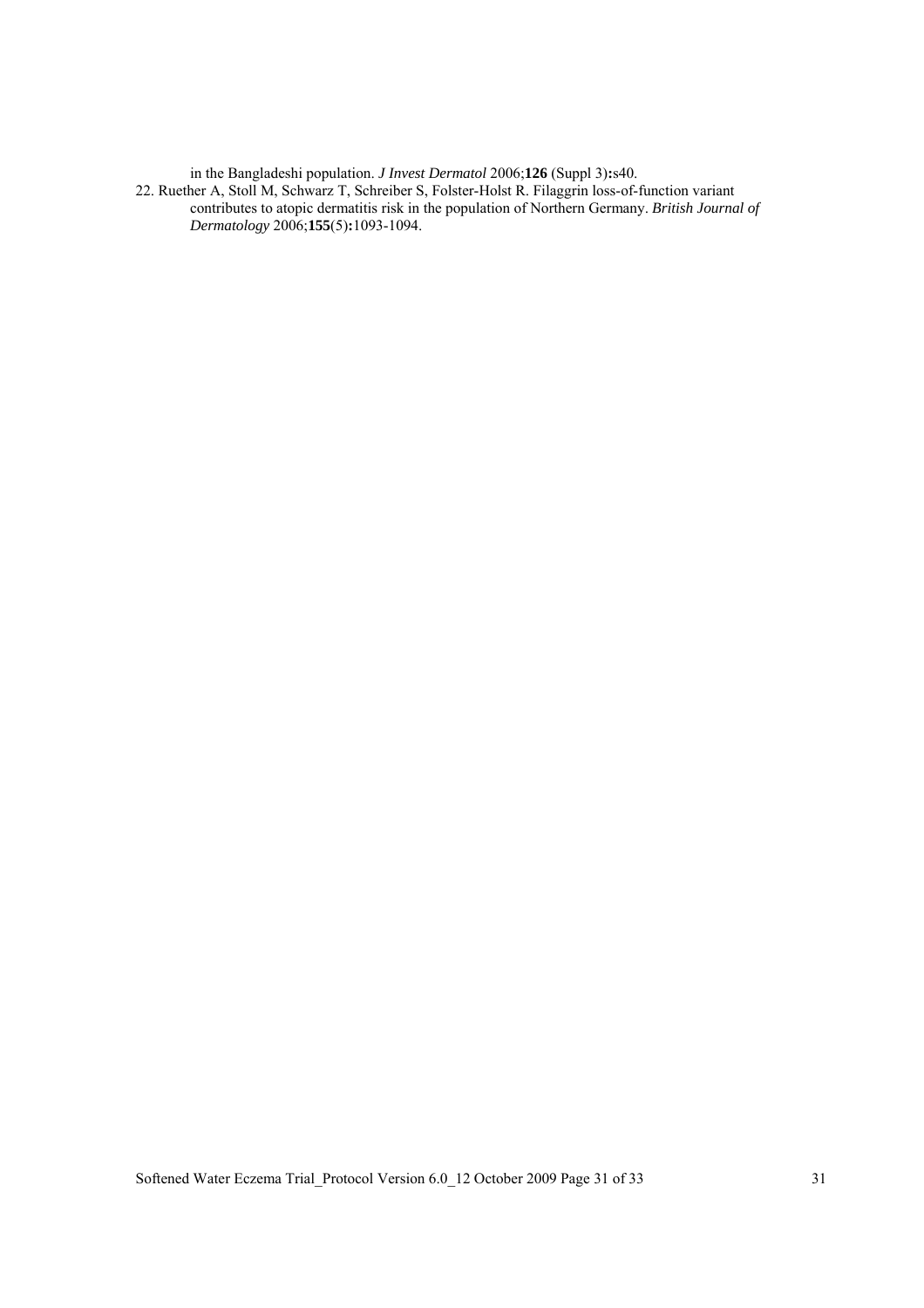in the Bangladeshi population. *J Invest Dermatol* 2006;**126** (Suppl 3)**:**s40.

22. Ruether A, Stoll M, Schwarz T, Schreiber S, Folster-Holst R. Filaggrin loss-of-function variant contributes to atopic dermatitis risk in the population of Northern Germany. *British Journal of Dermatology* 2006;**155**(5)**:**1093-1094.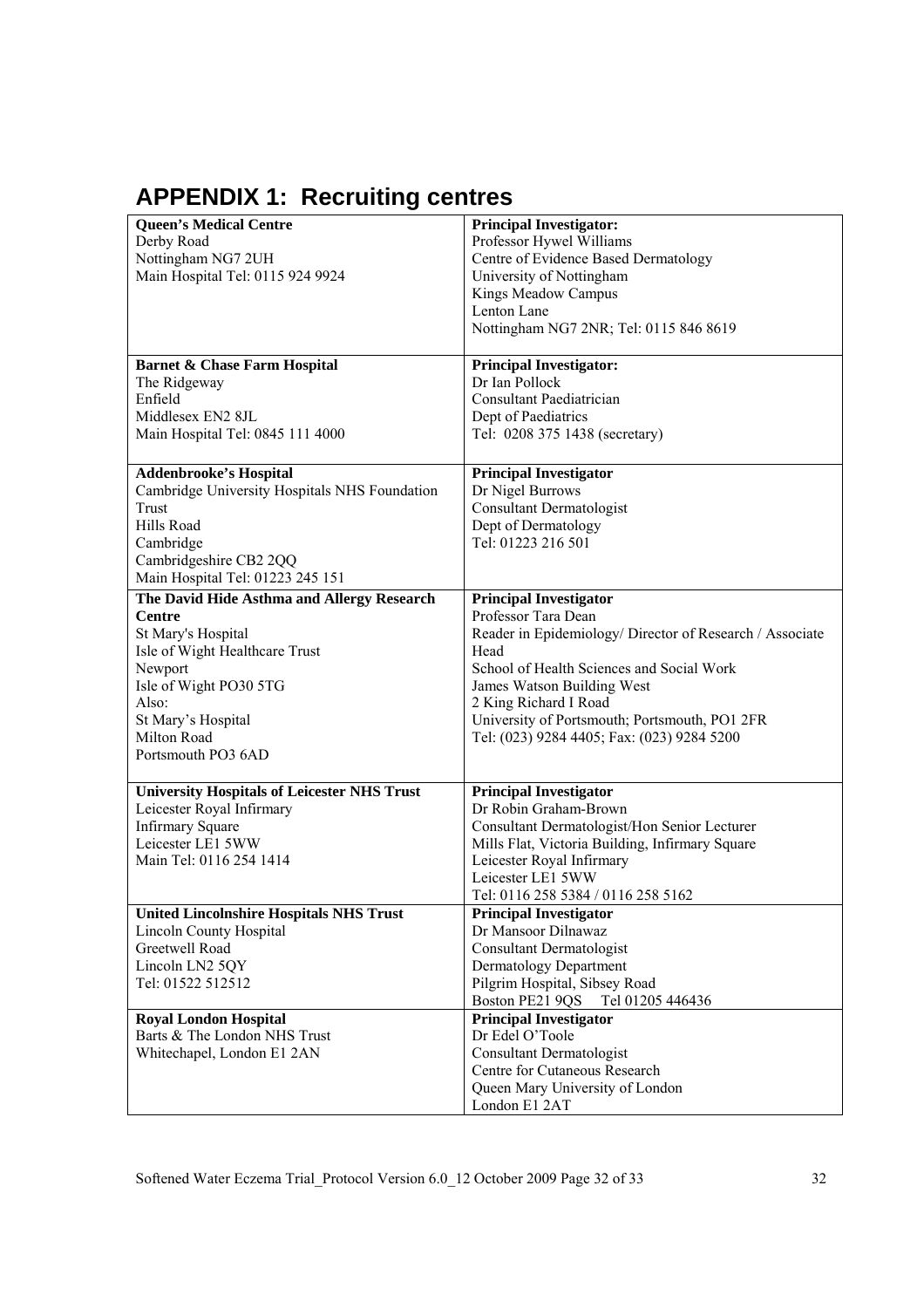# **APPENDIX 1: Recruiting centres**

| <b>Queen's Medical Centre</b>                      | <b>Principal Investigator:</b>                           |
|----------------------------------------------------|----------------------------------------------------------|
| Derby Road                                         | Professor Hywel Williams                                 |
| Nottingham NG7 2UH                                 | Centre of Evidence Based Dermatology                     |
| Main Hospital Tel: 0115 924 9924                   | University of Nottingham                                 |
|                                                    | Kings Meadow Campus                                      |
|                                                    | Lenton Lane                                              |
|                                                    |                                                          |
|                                                    | Nottingham NG7 2NR; Tel: 0115 846 8619                   |
| <b>Barnet &amp; Chase Farm Hospital</b>            | <b>Principal Investigator:</b>                           |
| The Ridgeway                                       | Dr Ian Pollock                                           |
| Enfield                                            | Consultant Paediatrician                                 |
| Middlesex EN2 8JL                                  | Dept of Paediatrics                                      |
| Main Hospital Tel: 0845 111 4000                   | Tel: 0208 375 1438 (secretary)                           |
| Addenbrooke's Hospital                             | <b>Principal Investigator</b>                            |
| Cambridge University Hospitals NHS Foundation      |                                                          |
|                                                    | Dr Nigel Burrows                                         |
| Trust                                              | <b>Consultant Dermatologist</b>                          |
| Hills Road                                         | Dept of Dermatology                                      |
| Cambridge                                          | Tel: 01223 216 501                                       |
| Cambridgeshire CB2 2QQ                             |                                                          |
| Main Hospital Tel: 01223 245 151                   |                                                          |
| The David Hide Asthma and Allergy Research         | <b>Principal Investigator</b>                            |
| <b>Centre</b>                                      | Professor Tara Dean                                      |
| St Mary's Hospital                                 | Reader in Epidemiology/ Director of Research / Associate |
| Isle of Wight Healthcare Trust                     | Head                                                     |
| Newport                                            | School of Health Sciences and Social Work                |
| Isle of Wight PO30 5TG                             | James Watson Building West                               |
| Also:                                              | 2 King Richard I Road                                    |
| St Mary's Hospital                                 | University of Portsmouth; Portsmouth, PO1 2FR            |
| Milton Road                                        | Tel: (023) 9284 4405; Fax: (023) 9284 5200               |
| Portsmouth PO3 6AD                                 |                                                          |
| <b>University Hospitals of Leicester NHS Trust</b> | <b>Principal Investigator</b>                            |
| Leicester Royal Infirmary                          | Dr Robin Graham-Brown                                    |
| <b>Infirmary Square</b>                            | Consultant Dermatologist/Hon Senior Lecturer             |
| Leicester LE1 5WW                                  | Mills Flat, Victoria Building, Infirmary Square          |
| Main Tel: 0116 254 1414                            | Leicester Royal Infirmary                                |
|                                                    | Leicester LE1 5WW                                        |
|                                                    | Tel: 0116 258 5384 / 0116 258 5162                       |
| <b>United Lincolnshire Hospitals NHS Trust</b>     | <b>Principal Investigator</b>                            |
| Lincoln County Hospital                            | Dr Mansoor Dilnawaz                                      |
| Greetwell Road                                     | <b>Consultant Dermatologist</b>                          |
| Lincoln LN2 5QY                                    | Dermatology Department                                   |
| Tel: 01522 512512                                  | Pilgrim Hospital, Sibsey Road                            |
|                                                    | Boston PE21 9QS<br>Tel 01205 446436                      |
| <b>Royal London Hospital</b>                       | <b>Principal Investigator</b>                            |
| Barts & The London NHS Trust                       | Dr Edel O'Toole                                          |
| Whitechapel, London E1 2AN                         | <b>Consultant Dermatologist</b>                          |
|                                                    | Centre for Cutaneous Research                            |
|                                                    | Queen Mary University of London                          |
|                                                    | London E1 2AT                                            |